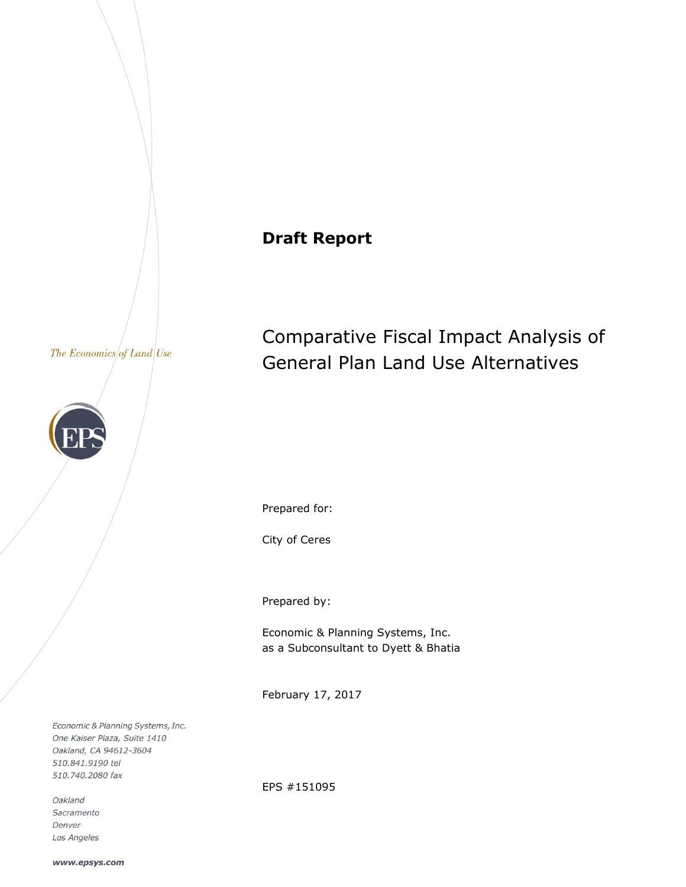# **Draft Report**

#### The Economics of Land Use



Comparative Fiscal Impact Analysis of General Plan Land Use Alternatives

Prepared for:

City of Ceres

Prepared by:

Economic & Planning Systems, Inc. as a Subconsultant to Dyett & Bhatia

February 17, 2017

Economic & Planning Systems, Inc. One Kaiser Plaza, Suite 1410 Oakland, CA 94612-3604 510.841.9190 tel 510.740.2080 fax

Oakland Sacramento Denver Los Angeles EPS #151095

www.epsys.com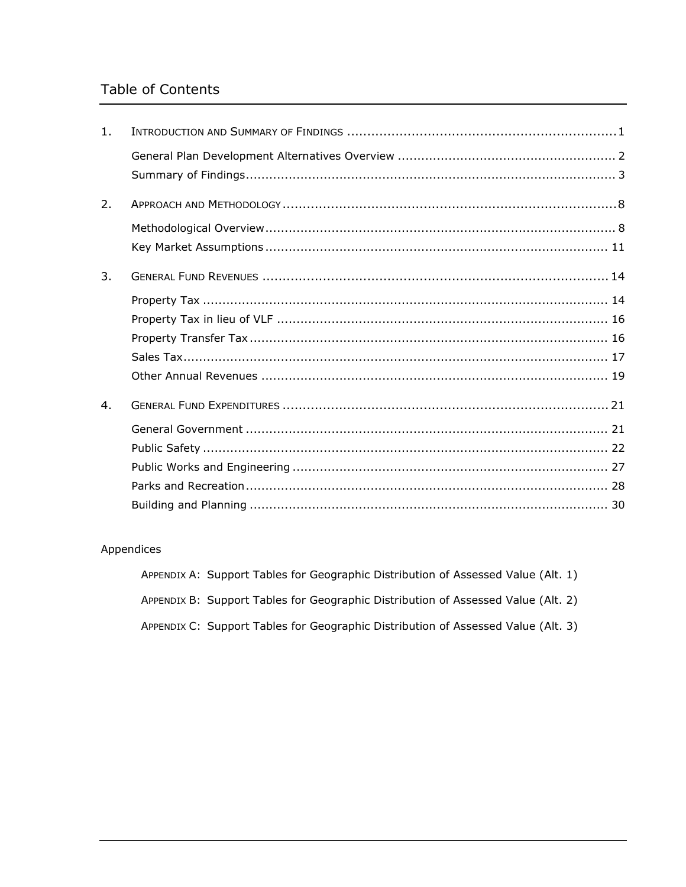# Table of Contents

| 1. |  |
|----|--|
|    |  |
| 2. |  |
|    |  |
|    |  |
| 3. |  |
|    |  |
|    |  |
|    |  |
|    |  |
|    |  |
| 4. |  |
|    |  |
|    |  |
|    |  |
|    |  |
|    |  |

### Appendices

| APPENDIX A: Support Tables for Geographic Distribution of Assessed Value (Alt. 1) |  |  |  |
|-----------------------------------------------------------------------------------|--|--|--|
| APPENDIX B: Support Tables for Geographic Distribution of Assessed Value (Alt. 2) |  |  |  |
| APPENDIX C: Support Tables for Geographic Distribution of Assessed Value (Alt. 3) |  |  |  |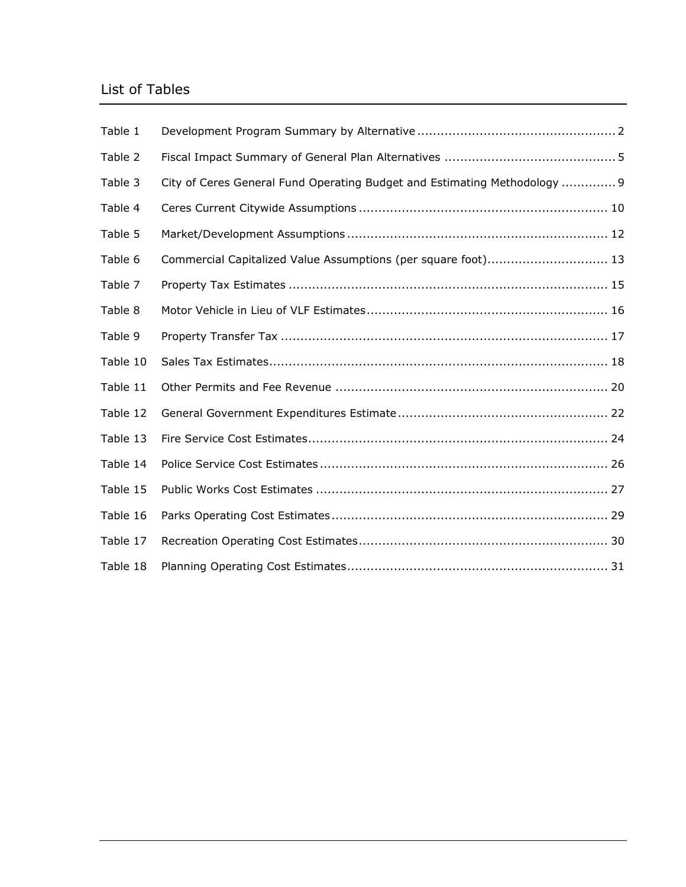# List of Tables

| Table 1  |                                                                           |
|----------|---------------------------------------------------------------------------|
| Table 2  |                                                                           |
| Table 3  | City of Ceres General Fund Operating Budget and Estimating Methodology  9 |
| Table 4  |                                                                           |
| Table 5  |                                                                           |
| Table 6  | Commercial Capitalized Value Assumptions (per square foot) 13             |
| Table 7  |                                                                           |
| Table 8  |                                                                           |
| Table 9  |                                                                           |
| Table 10 |                                                                           |
| Table 11 |                                                                           |
| Table 12 |                                                                           |
| Table 13 |                                                                           |
| Table 14 |                                                                           |
| Table 15 |                                                                           |
| Table 16 |                                                                           |
| Table 17 |                                                                           |
| Table 18 |                                                                           |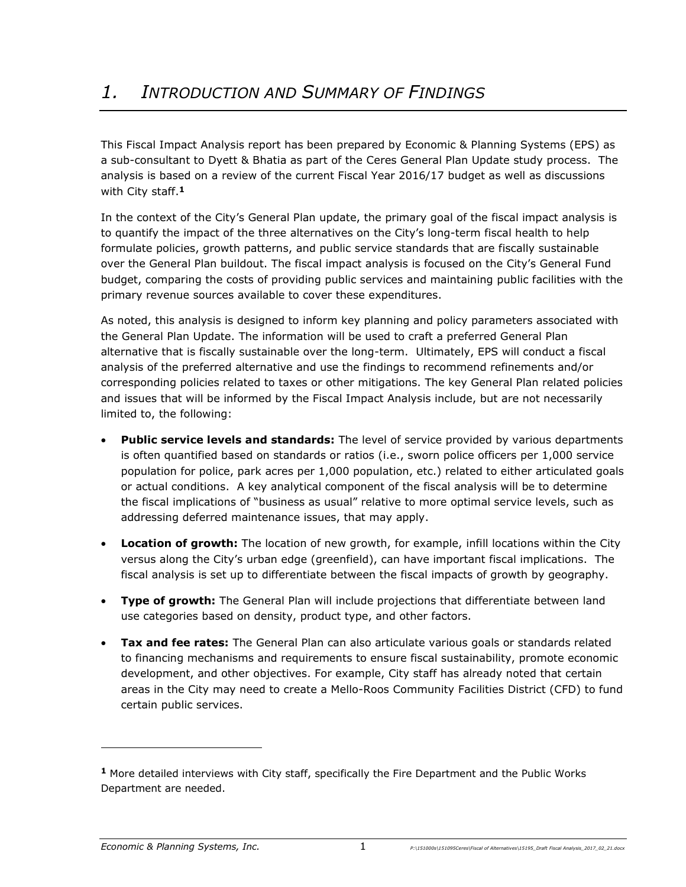This Fiscal Impact Analysis report has been prepared by Economic & Planning Systems (EPS) as a sub-consultant to Dyett & Bhatia as part of the Ceres General Plan Update study process. The analysis is based on a review of the current Fiscal Year 2016/17 budget as well as discussions with City staff.**<sup>1</sup>**

In the context of the City's General Plan update, the primary goal of the fiscal impact analysis is to quantify the impact of the three alternatives on the City's long-term fiscal health to help formulate policies, growth patterns, and public service standards that are fiscally sustainable over the General Plan buildout. The fiscal impact analysis is focused on the City's General Fund budget, comparing the costs of providing public services and maintaining public facilities with the primary revenue sources available to cover these expenditures.

As noted, this analysis is designed to inform key planning and policy parameters associated with the General Plan Update. The information will be used to craft a preferred General Plan alternative that is fiscally sustainable over the long-term. Ultimately, EPS will conduct a fiscal analysis of the preferred alternative and use the findings to recommend refinements and/or corresponding policies related to taxes or other mitigations. The key General Plan related policies and issues that will be informed by the Fiscal Impact Analysis include, but are not necessarily limited to, the following:

- **Public service levels and standards:** The level of service provided by various departments is often quantified based on standards or ratios (i.e., sworn police officers per 1,000 service population for police, park acres per 1,000 population, etc.) related to either articulated goals or actual conditions. A key analytical component of the fiscal analysis will be to determine the fiscal implications of "business as usual" relative to more optimal service levels, such as addressing deferred maintenance issues, that may apply.
- **Location of growth:** The location of new growth, for example, infill locations within the City versus along the City's urban edge (greenfield), can have important fiscal implications. The fiscal analysis is set up to differentiate between the fiscal impacts of growth by geography.
- **Type of growth:** The General Plan will include projections that differentiate between land use categories based on density, product type, and other factors.
- **Tax and fee rates:** The General Plan can also articulate various goals or standards related to financing mechanisms and requirements to ensure fiscal sustainability, promote economic development, and other objectives. For example, City staff has already noted that certain areas in the City may need to create a Mello-Roos Community Facilities District (CFD) to fund certain public services.

-

**<sup>1</sup>** More detailed interviews with City staff, specifically the Fire Department and the Public Works Department are needed.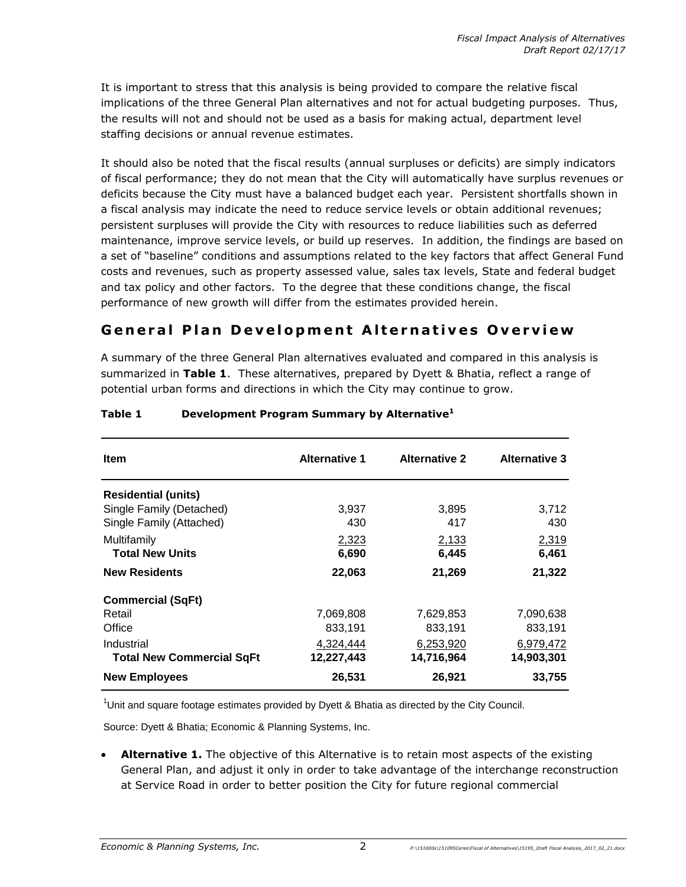It is important to stress that this analysis is being provided to compare the relative fiscal implications of the three General Plan alternatives and not for actual budgeting purposes. Thus, the results will not and should not be used as a basis for making actual, department level staffing decisions or annual revenue estimates.

It should also be noted that the fiscal results (annual surpluses or deficits) are simply indicators of fiscal performance; they do not mean that the City will automatically have surplus revenues or deficits because the City must have a balanced budget each year. Persistent shortfalls shown in a fiscal analysis may indicate the need to reduce service levels or obtain additional revenues; persistent surpluses will provide the City with resources to reduce liabilities such as deferred maintenance, improve service levels, or build up reserves. In addition, the findings are based on a set of "baseline" conditions and assumptions related to the key factors that affect General Fund costs and revenues, such as property assessed value, sales tax levels, State and federal budget and tax policy and other factors. To the degree that these conditions change, the fiscal performance of new growth will differ from the estimates provided herein.

### **General Plan Development Alternatives Overview**

A summary of the three General Plan alternatives evaluated and compared in this analysis is summarized in **Table 1**. These alternatives, prepared by Dyett & Bhatia, reflect a range of potential urban forms and directions in which the City may continue to grow.

| <b>Item</b>                      | <b>Alternative 1</b> | <b>Alternative 2</b> | <b>Alternative 3</b> |
|----------------------------------|----------------------|----------------------|----------------------|
| <b>Residential (units)</b>       |                      |                      |                      |
| Single Family (Detached)         | 3,937                | 3,895                | 3,712                |
| Single Family (Attached)         | 430                  | 417                  | 430                  |
| Multifamily                      | 2,323                | 2,133                | 2,319                |
| <b>Total New Units</b>           | 6,690                | 6,445                | 6,461                |
| <b>New Residents</b>             | 22,063               | 21,269               | 21,322               |
| <b>Commercial (SqFt)</b>         |                      |                      |                      |
| Retail                           | 7,069,808            | 7,629,853            | 7,090,638            |
| Office                           | 833,191              | 833,191              | 833.191              |
| Industrial                       | 4,324,444            | 6,253,920            | 6,979,472            |
| <b>Total New Commercial SqFt</b> | 12,227,443           | 14,716,964           | 14,903,301           |
| <b>New Employees</b>             | 26,531               | 26,921               | 33,755               |

### **Table 1 Development Program Summary by Alternative<sup>1</sup>**

 $10$ nit and square footage estimates provided by Dyett & Bhatia as directed by the City Council.

Source: Dyett & Bhatia; Economic & Planning Systems, Inc.

**Alternative 1.** The objective of this Alternative is to retain most aspects of the existing General Plan, and adjust it only in order to take advantage of the interchange reconstruction at Service Road in order to better position the City for future regional commercial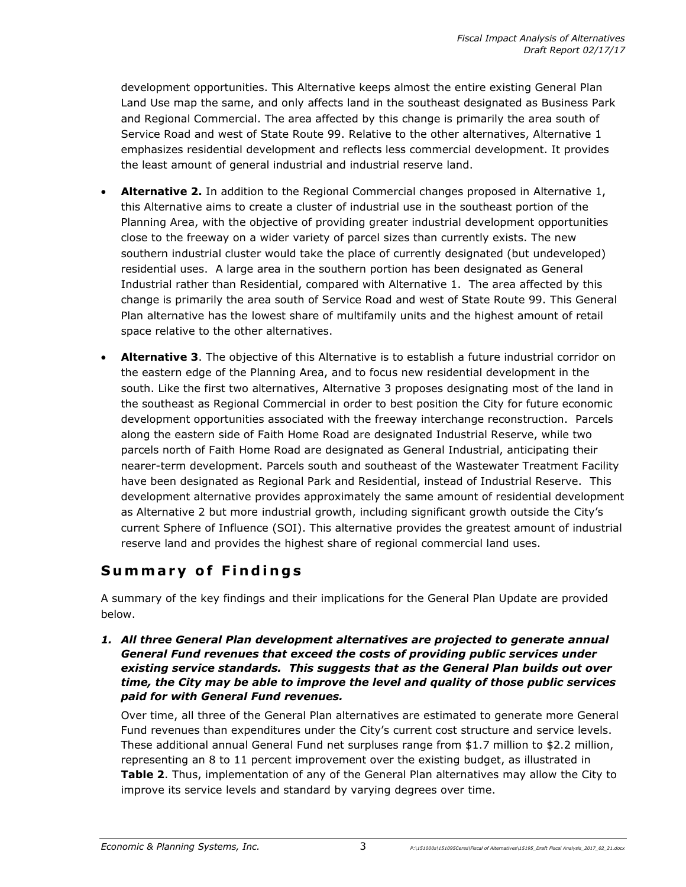development opportunities. This Alternative keeps almost the entire existing General Plan Land Use map the same, and only affects land in the southeast designated as Business Park and Regional Commercial. The area affected by this change is primarily the area south of Service Road and west of State Route 99. Relative to the other alternatives, Alternative 1 emphasizes residential development and reflects less commercial development. It provides the least amount of general industrial and industrial reserve land.

- **Alternative 2.** In addition to the Regional Commercial changes proposed in Alternative 1, this Alternative aims to create a cluster of industrial use in the southeast portion of the Planning Area, with the objective of providing greater industrial development opportunities close to the freeway on a wider variety of parcel sizes than currently exists. The new southern industrial cluster would take the place of currently designated (but undeveloped) residential uses. A large area in the southern portion has been designated as General Industrial rather than Residential, compared with Alternative 1. The area affected by this change is primarily the area south of Service Road and west of State Route 99. This General Plan alternative has the lowest share of multifamily units and the highest amount of retail space relative to the other alternatives.
- **Alternative 3**. The objective of this Alternative is to establish a future industrial corridor on the eastern edge of the Planning Area, and to focus new residential development in the south. Like the first two alternatives, Alternative 3 proposes designating most of the land in the southeast as Regional Commercial in order to best position the City for future economic development opportunities associated with the freeway interchange reconstruction. Parcels along the eastern side of Faith Home Road are designated Industrial Reserve, while two parcels north of Faith Home Road are designated as General Industrial, anticipating their nearer-term development. Parcels south and southeast of the Wastewater Treatment Facility have been designated as Regional Park and Residential, instead of Industrial Reserve. This development alternative provides approximately the same amount of residential development as Alternative 2 but more industrial growth, including significant growth outside the City's current Sphere of Influence (SOI). This alternative provides the greatest amount of industrial reserve land and provides the highest share of regional commercial land uses.

### **S umm a r y o f F i n d i n g s**

A summary of the key findings and their implications for the General Plan Update are provided below.

### *1. All three General Plan development alternatives are projected to generate annual General Fund revenues that exceed the costs of providing public services under existing service standards. This suggests that as the General Plan builds out over time, the City may be able to improve the level and quality of those public services paid for with General Fund revenues.*

Over time, all three of the General Plan alternatives are estimated to generate more General Fund revenues than expenditures under the City's current cost structure and service levels. These additional annual General Fund net surpluses range from \$1.7 million to \$2.2 million, representing an 8 to 11 percent improvement over the existing budget, as illustrated in **Table 2**. Thus, implementation of any of the General Plan alternatives may allow the City to improve its service levels and standard by varying degrees over time.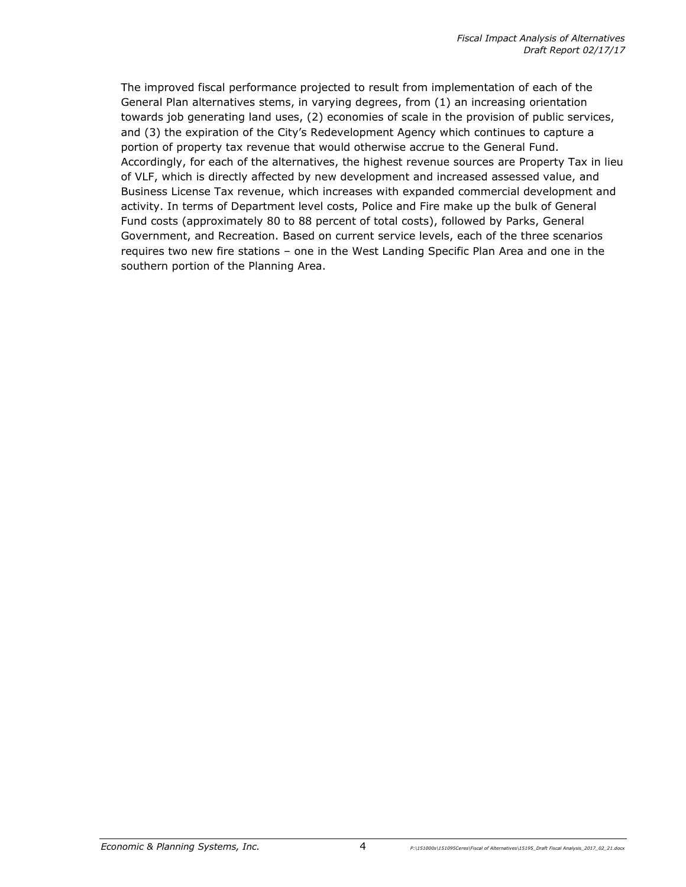The improved fiscal performance projected to result from implementation of each of the General Plan alternatives stems, in varying degrees, from (1) an increasing orientation towards job generating land uses, (2) economies of scale in the provision of public services, and (3) the expiration of the City's Redevelopment Agency which continues to capture a portion of property tax revenue that would otherwise accrue to the General Fund. Accordingly, for each of the alternatives, the highest revenue sources are Property Tax in lieu of VLF, which is directly affected by new development and increased assessed value, and Business License Tax revenue, which increases with expanded commercial development and activity. In terms of Department level costs, Police and Fire make up the bulk of General Fund costs (approximately 80 to 88 percent of total costs), followed by Parks, General Government, and Recreation. Based on current service levels, each of the three scenarios requires two new fire stations – one in the West Landing Specific Plan Area and one in the southern portion of the Planning Area.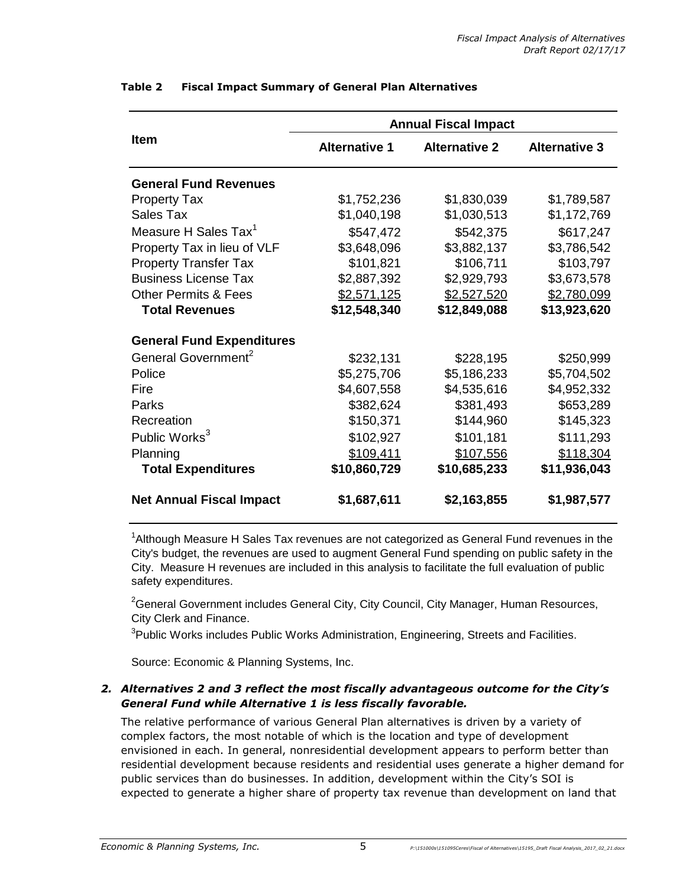|                                  | <b>Annual Fiscal Impact</b> |                      |                      |  |  |  |
|----------------------------------|-----------------------------|----------------------|----------------------|--|--|--|
| <b>Item</b>                      | <b>Alternative 1</b>        | <b>Alternative 2</b> | <b>Alternative 3</b> |  |  |  |
| <b>General Fund Revenues</b>     |                             |                      |                      |  |  |  |
| <b>Property Tax</b>              | \$1,752,236                 | \$1,830,039          | \$1,789,587          |  |  |  |
| Sales Tax                        | \$1,040,198                 | \$1,030,513          | \$1,172,769          |  |  |  |
| Measure H Sales Tax <sup>1</sup> | \$547,472                   | \$542,375            | \$617,247            |  |  |  |
| Property Tax in lieu of VLF      | \$3,648,096                 | \$3,882,137          | \$3,786,542          |  |  |  |
| <b>Property Transfer Tax</b>     | \$101,821                   | \$106,711            | \$103,797            |  |  |  |
| <b>Business License Tax</b>      | \$2,887,392                 | \$2,929,793          | \$3,673,578          |  |  |  |
| <b>Other Permits &amp; Fees</b>  | \$2,571,125                 | \$2,527,520          | \$2,780,099          |  |  |  |
| <b>Total Revenues</b>            | \$12,548,340                | \$12,849,088         | \$13,923,620         |  |  |  |
| <b>General Fund Expenditures</b> |                             |                      |                      |  |  |  |
| General Government <sup>2</sup>  | \$232,131                   | \$228,195            | \$250,999            |  |  |  |
| Police                           | \$5,275,706                 | \$5,186,233          | \$5,704,502          |  |  |  |
| Fire                             | \$4,607,558                 | \$4,535,616          | \$4,952,332          |  |  |  |
| Parks                            | \$382,624                   | \$381,493            | \$653,289            |  |  |  |
| Recreation                       | \$150,371                   | \$144,960            | \$145,323            |  |  |  |
| Public Works <sup>3</sup>        | \$102,927                   | \$101,181            | \$111,293            |  |  |  |
| Planning                         | \$109,411                   | \$107,556            | \$118,304            |  |  |  |
| <b>Total Expenditures</b>        | \$10,860,729                | \$10,685,233         | \$11,936,043         |  |  |  |
| <b>Net Annual Fiscal Impact</b>  | \$1,687,611                 | \$2,163,855          | \$1,987,577          |  |  |  |

### **Table 2 Fiscal Impact Summary of General Plan Alternatives**

<sup>1</sup>Although Measure H Sales Tax revenues are not categorized as General Fund revenues in the City's budget, the revenues are used to augment General Fund spending on public safety in the City. Measure H revenues are included in this analysis to facilitate the full evaluation of public safety expenditures.

<sup>2</sup>General Government includes General City, City Council, City Manager, Human Resources, City Clerk and Finance.

<sup>3</sup>Public Works includes Public Works Administration, Engineering, Streets and Facilities.

Source: Economic & Planning Systems, Inc.

### *2. Alternatives 2 and 3 reflect the most fiscally advantageous outcome for the City's General Fund while Alternative 1 is less fiscally favorable.*

The relative performance of various General Plan alternatives is driven by a variety of complex factors, the most notable of which is the location and type of development envisioned in each. In general, nonresidential development appears to perform better than residential development because residents and residential uses generate a higher demand for public services than do businesses. In addition, development within the City's SOI is expected to generate a higher share of property tax revenue than development on land that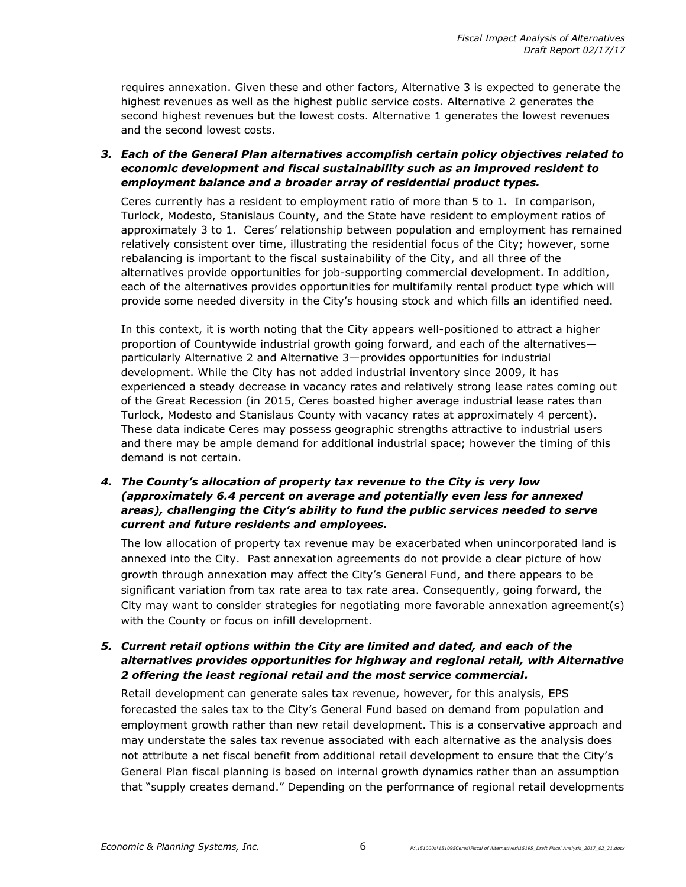requires annexation. Given these and other factors, Alternative 3 is expected to generate the highest revenues as well as the highest public service costs. Alternative 2 generates the second highest revenues but the lowest costs. Alternative 1 generates the lowest revenues and the second lowest costs.

### *3. Each of the General Plan alternatives accomplish certain policy objectives related to economic development and fiscal sustainability such as an improved resident to employment balance and a broader array of residential product types.*

Ceres currently has a resident to employment ratio of more than 5 to 1. In comparison, Turlock, Modesto, Stanislaus County, and the State have resident to employment ratios of approximately 3 to 1. Ceres' relationship between population and employment has remained relatively consistent over time, illustrating the residential focus of the City; however, some rebalancing is important to the fiscal sustainability of the City, and all three of the alternatives provide opportunities for job-supporting commercial development. In addition, each of the alternatives provides opportunities for multifamily rental product type which will provide some needed diversity in the City's housing stock and which fills an identified need.

In this context, it is worth noting that the City appears well-positioned to attract a higher proportion of Countywide industrial growth going forward, and each of the alternatives particularly Alternative 2 and Alternative 3—provides opportunities for industrial development. While the City has not added industrial inventory since 2009, it has experienced a steady decrease in vacancy rates and relatively strong lease rates coming out of the Great Recession (in 2015, Ceres boasted higher average industrial lease rates than Turlock, Modesto and Stanislaus County with vacancy rates at approximately 4 percent). These data indicate Ceres may possess geographic strengths attractive to industrial users and there may be ample demand for additional industrial space; however the timing of this demand is not certain.

### *4. The County's allocation of property tax revenue to the City is very low (approximately 6.4 percent on average and potentially even less for annexed areas), challenging the City's ability to fund the public services needed to serve current and future residents and employees.*

The low allocation of property tax revenue may be exacerbated when unincorporated land is annexed into the City. Past annexation agreements do not provide a clear picture of how growth through annexation may affect the City's General Fund, and there appears to be significant variation from tax rate area to tax rate area. Consequently, going forward, the City may want to consider strategies for negotiating more favorable annexation agreement(s) with the County or focus on infill development.

### *5. Current retail options within the City are limited and dated, and each of the alternatives provides opportunities for highway and regional retail, with Alternative 2 offering the least regional retail and the most service commercial.*

Retail development can generate sales tax revenue, however, for this analysis, EPS forecasted the sales tax to the City's General Fund based on demand from population and employment growth rather than new retail development. This is a conservative approach and may understate the sales tax revenue associated with each alternative as the analysis does not attribute a net fiscal benefit from additional retail development to ensure that the City's General Plan fiscal planning is based on internal growth dynamics rather than an assumption that "supply creates demand." Depending on the performance of regional retail developments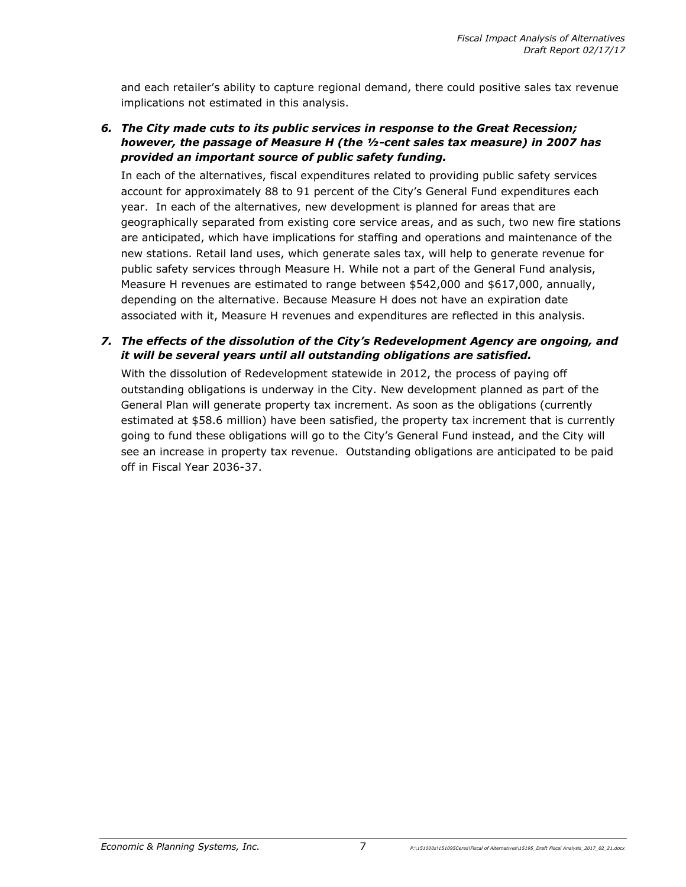and each retailer's ability to capture regional demand, there could positive sales tax revenue implications not estimated in this analysis.

### *6. The City made cuts to its public services in response to the Great Recession; however, the passage of Measure H (the ½-cent sales tax measure) in 2007 has provided an important source of public safety funding.*

In each of the alternatives, fiscal expenditures related to providing public safety services account for approximately 88 to 91 percent of the City's General Fund expenditures each year. In each of the alternatives, new development is planned for areas that are geographically separated from existing core service areas, and as such, two new fire stations are anticipated, which have implications for staffing and operations and maintenance of the new stations. Retail land uses, which generate sales tax, will help to generate revenue for public safety services through Measure H. While not a part of the General Fund analysis, Measure H revenues are estimated to range between \$542,000 and \$617,000, annually, depending on the alternative. Because Measure H does not have an expiration date associated with it, Measure H revenues and expenditures are reflected in this analysis.

### *7. The effects of the dissolution of the City's Redevelopment Agency are ongoing, and it will be several years until all outstanding obligations are satisfied.*

With the dissolution of Redevelopment statewide in 2012, the process of paying off outstanding obligations is underway in the City. New development planned as part of the General Plan will generate property tax increment. As soon as the obligations (currently estimated at \$58.6 million) have been satisfied, the property tax increment that is currently going to fund these obligations will go to the City's General Fund instead, and the City will see an increase in property tax revenue. Outstanding obligations are anticipated to be paid off in Fiscal Year 2036-37.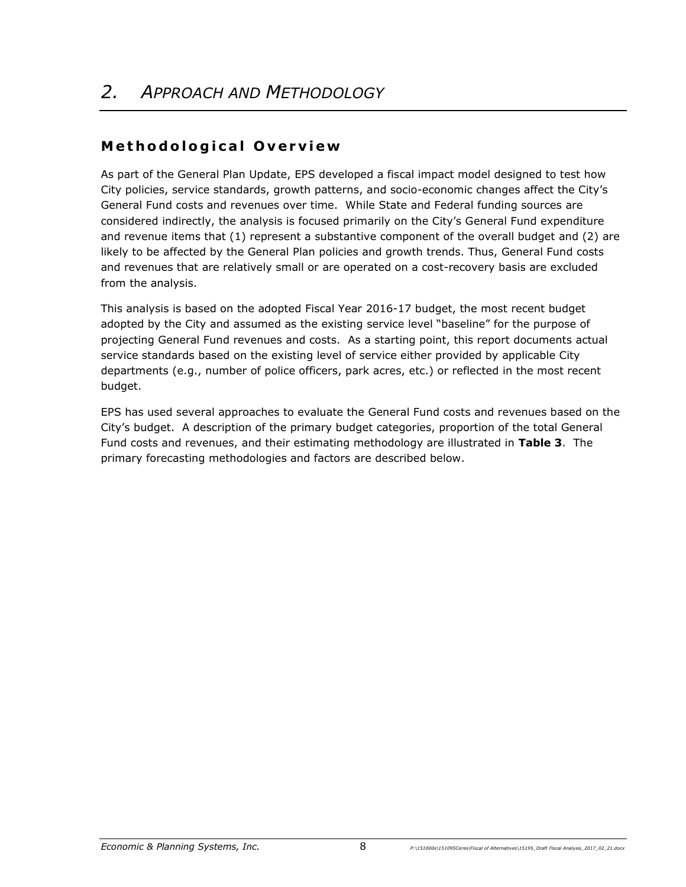# **M e t h o d o l o g i c a l O v e r v i e w**

As part of the General Plan Update, EPS developed a fiscal impact model designed to test how City policies, service standards, growth patterns, and socio-economic changes affect the City's General Fund costs and revenues over time. While State and Federal funding sources are considered indirectly, the analysis is focused primarily on the City's General Fund expenditure and revenue items that (1) represent a substantive component of the overall budget and (2) are likely to be affected by the General Plan policies and growth trends. Thus, General Fund costs and revenues that are relatively small or are operated on a cost-recovery basis are excluded from the analysis.

This analysis is based on the adopted Fiscal Year 2016-17 budget, the most recent budget adopted by the City and assumed as the existing service level "baseline" for the purpose of projecting General Fund revenues and costs. As a starting point, this report documents actual service standards based on the existing level of service either provided by applicable City departments (e.g., number of police officers, park acres, etc.) or reflected in the most recent budget.

EPS has used several approaches to evaluate the General Fund costs and revenues based on the City's budget. A description of the primary budget categories, proportion of the total General Fund costs and revenues, and their estimating methodology are illustrated in **Table 3**.The primary forecasting methodologies and factors are described below.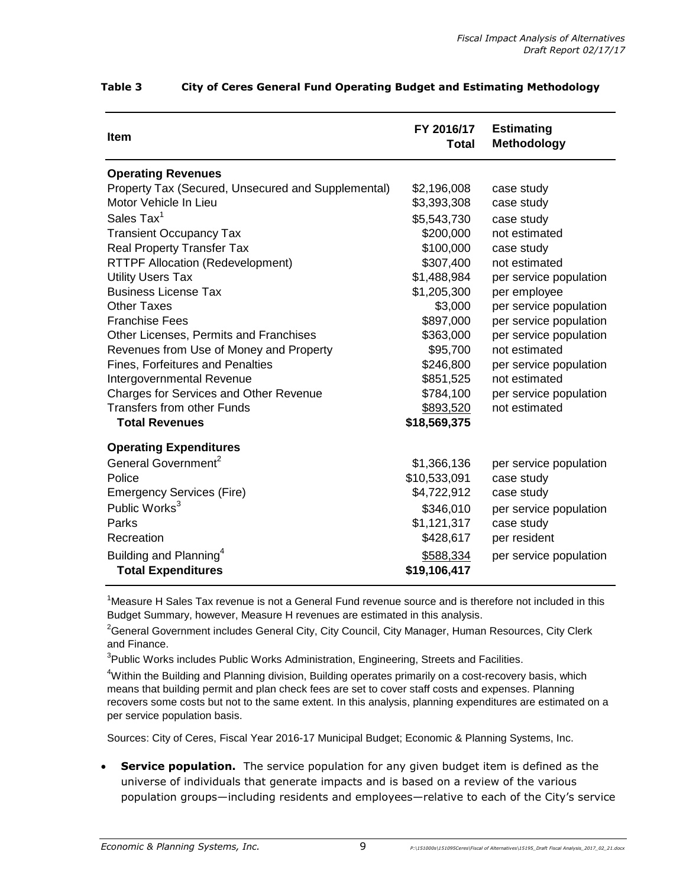| <b>Item</b>                                        | FY 2016/17<br><b>Total</b> | <b>Estimating</b><br>Methodology |
|----------------------------------------------------|----------------------------|----------------------------------|
| <b>Operating Revenues</b>                          |                            |                                  |
| Property Tax (Secured, Unsecured and Supplemental) | \$2,196,008                | case study                       |
| Motor Vehicle In Lieu                              | \$3,393,308                | case study                       |
| Sales Tax $^1$                                     | \$5,543,730                | case study                       |
| <b>Transient Occupancy Tax</b>                     | \$200,000                  | not estimated                    |
| <b>Real Property Transfer Tax</b>                  | \$100,000                  | case study                       |
| <b>RTTPF Allocation (Redevelopment)</b>            | \$307,400                  | not estimated                    |
| <b>Utility Users Tax</b>                           | \$1,488,984                | per service population           |
| <b>Business License Tax</b>                        | \$1,205,300                | per employee                     |
| <b>Other Taxes</b>                                 | \$3,000                    | per service population           |
| <b>Franchise Fees</b>                              | \$897,000                  | per service population           |
| <b>Other Licenses, Permits and Franchises</b>      | \$363,000                  | per service population           |
| Revenues from Use of Money and Property            | \$95,700                   | not estimated                    |
| <b>Fines, Forfeitures and Penalties</b>            | \$246,800                  | per service population           |
| Intergovernmental Revenue                          | \$851,525                  | not estimated                    |
| <b>Charges for Services and Other Revenue</b>      | \$784,100                  | per service population           |
| <b>Transfers from other Funds</b>                  | \$893,520                  | not estimated                    |
| <b>Total Revenues</b>                              | \$18,569,375               |                                  |
| <b>Operating Expenditures</b>                      |                            |                                  |
| General Government <sup>2</sup>                    | \$1,366,136                | per service population           |
| Police                                             | \$10,533,091               | case study                       |
| <b>Emergency Services (Fire)</b>                   | \$4,722,912                | case study                       |
| Public Works <sup>3</sup>                          | \$346,010                  | per service population           |
| Parks                                              | \$1,121,317                | case study                       |
| Recreation                                         | \$428,617                  | per resident                     |
| Building and Planning <sup>4</sup>                 | \$588,334                  | per service population           |
| <b>Total Expenditures</b>                          | \$19,106,417               |                                  |

### **Table 3 City of Ceres General Fund Operating Budget and Estimating Methodology**

<sup>1</sup>Measure H Sales Tax revenue is not a General Fund revenue source and is therefore not included in this Budget Summary, however, Measure H revenues are estimated in this analysis.

<sup>2</sup>General Government includes General City, City Council, City Manager, Human Resources, City Clerk and Finance.

<sup>3</sup>Public Works includes Public Works Administration, Engineering, Streets and Facilities.

<sup>4</sup>Within the Building and Planning division, Building operates primarily on a cost-recovery basis, which means that building permit and plan check fees are set to cover staff costs and expenses. Planning recovers some costs but not to the same extent. In this analysis, planning expenditures are estimated on a per service population basis.

Sources: City of Ceres, Fiscal Year 2016-17 Municipal Budget; Economic & Planning Systems, Inc.

 **Service population.** The service population for any given budget item is defined as the universe of individuals that generate impacts and is based on a review of the various population groups—including residents and employees—relative to each of the City's service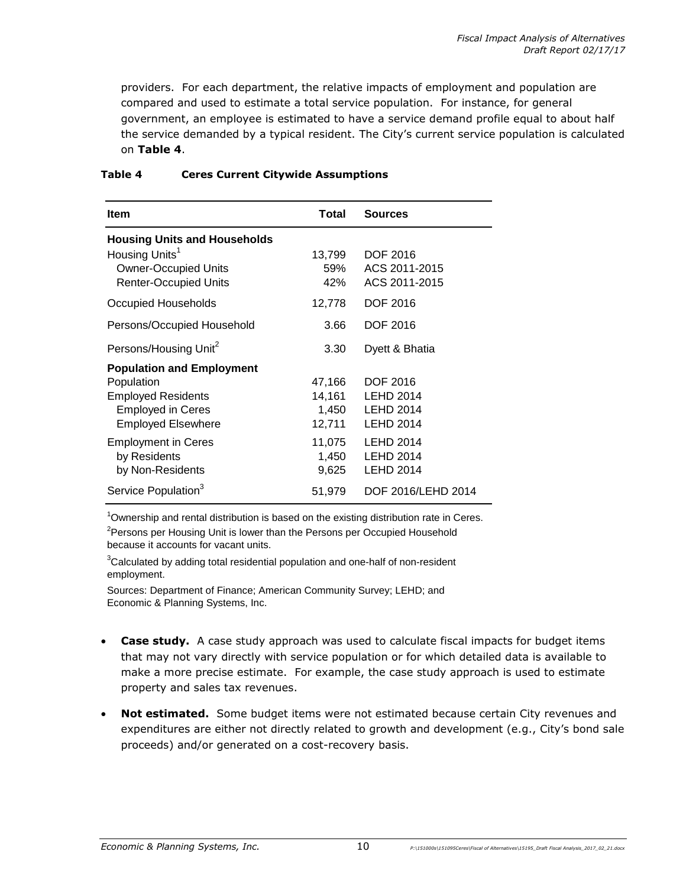providers. For each department, the relative impacts of employment and population are compared and used to estimate a total service population. For instance, for general government, an employee is estimated to have a service demand profile equal to about half the service demanded by a typical resident. The City's current service population is calculated on **Table 4**.

| <b>Item</b>                                                                                                                          | <b>Total</b>                        | <b>Sources</b>                                                              |
|--------------------------------------------------------------------------------------------------------------------------------------|-------------------------------------|-----------------------------------------------------------------------------|
| <b>Housing Units and Households</b><br>Housing Units <sup>1</sup><br><b>Owner-Occupied Units</b><br><b>Renter-Occupied Units</b>     | 13,799<br>59%<br>42%                | DOF 2016<br>ACS 2011-2015<br>ACS 2011-2015                                  |
| Occupied Households                                                                                                                  | 12,778                              | <b>DOF 2016</b>                                                             |
| Persons/Occupied Household                                                                                                           | 3.66                                | <b>DOF 2016</b>                                                             |
| Persons/Housing Unit <sup>2</sup>                                                                                                    | 3.30                                | Dyett & Bhatia                                                              |
| <b>Population and Employment</b><br>Population<br><b>Employed Residents</b><br><b>Employed in Ceres</b><br><b>Employed Elsewhere</b> | 47,166<br>14,161<br>1,450<br>12,711 | <b>DOF 2016</b><br><b>LEHD 2014</b><br><b>LEHD 2014</b><br><b>LEHD 2014</b> |
| <b>Employment in Ceres</b><br>by Residents<br>by Non-Residents                                                                       | 11,075<br>1,450<br>9,625            | <b>LEHD 2014</b><br><b>LEHD 2014</b><br><b>LEHD 2014</b>                    |
| Service Population <sup>3</sup>                                                                                                      | 51,979                              | DOF 2016/LEHD 2014                                                          |

#### **Table 4 Ceres Current Citywide Assumptions**

 $1$ Ownership and rental distribution is based on the existing distribution rate in Ceres. <sup>2</sup>Persons per Housing Unit is lower than the Persons per Occupied Household

because it accounts for vacant units.

 $3$ Calculated by adding total residential population and one-half of non-resident employment.

Sources: Department of Finance; American Community Survey; LEHD; and Economic & Planning Systems, Inc.

- **Case study.** A case study approach was used to calculate fiscal impacts for budget items that may not vary directly with service population or for which detailed data is available to make a more precise estimate. For example, the case study approach is used to estimate property and sales tax revenues.
- **Not estimated.** Some budget items were not estimated because certain City revenues and expenditures are either not directly related to growth and development (e.g., City's bond sale proceeds) and/or generated on a cost-recovery basis.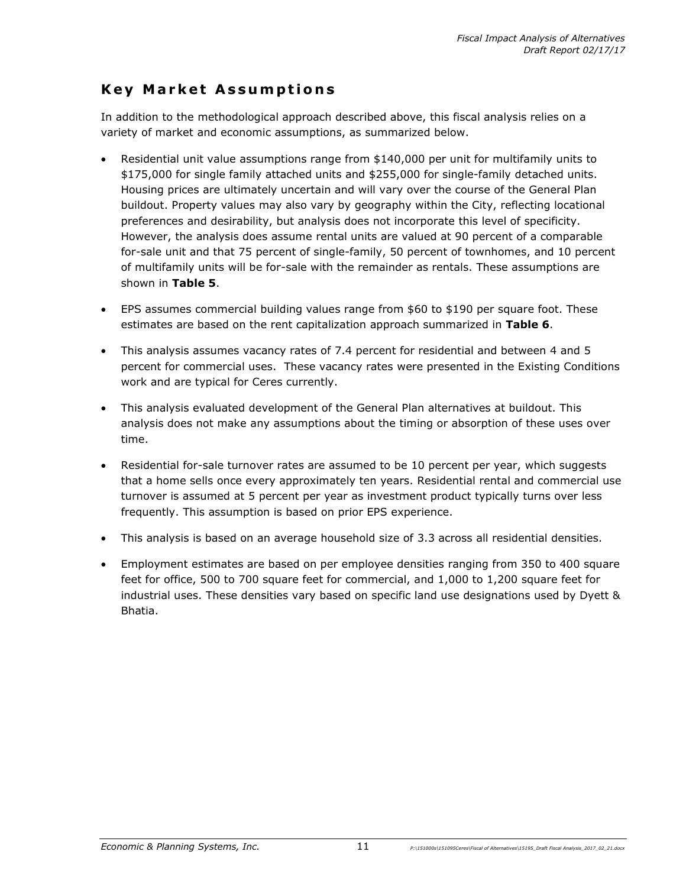### **Key Market Assumptions**

In addition to the methodological approach described above, this fiscal analysis relies on a variety of market and economic assumptions, as summarized below.

- Residential unit value assumptions range from \$140,000 per unit for multifamily units to \$175,000 for single family attached units and \$255,000 for single-family detached units. Housing prices are ultimately uncertain and will vary over the course of the General Plan buildout. Property values may also vary by geography within the City, reflecting locational preferences and desirability, but analysis does not incorporate this level of specificity. However, the analysis does assume rental units are valued at 90 percent of a comparable for-sale unit and that 75 percent of single-family, 50 percent of townhomes, and 10 percent of multifamily units will be for-sale with the remainder as rentals. These assumptions are shown in **Table 5**.
- EPS assumes commercial building values range from \$60 to \$190 per square foot. These estimates are based on the rent capitalization approach summarized in **Table 6**.
- This analysis assumes vacancy rates of 7.4 percent for residential and between 4 and 5 percent for commercial uses. These vacancy rates were presented in the Existing Conditions work and are typical for Ceres currently.
- This analysis evaluated development of the General Plan alternatives at buildout. This analysis does not make any assumptions about the timing or absorption of these uses over time.
- Residential for-sale turnover rates are assumed to be 10 percent per year, which suggests that a home sells once every approximately ten years. Residential rental and commercial use turnover is assumed at 5 percent per year as investment product typically turns over less frequently. This assumption is based on prior EPS experience.
- This analysis is based on an average household size of 3.3 across all residential densities.
- Employment estimates are based on per employee densities ranging from 350 to 400 square feet for office, 500 to 700 square feet for commercial, and 1,000 to 1,200 square feet for industrial uses. These densities vary based on specific land use designations used by Dyett & Bhatia.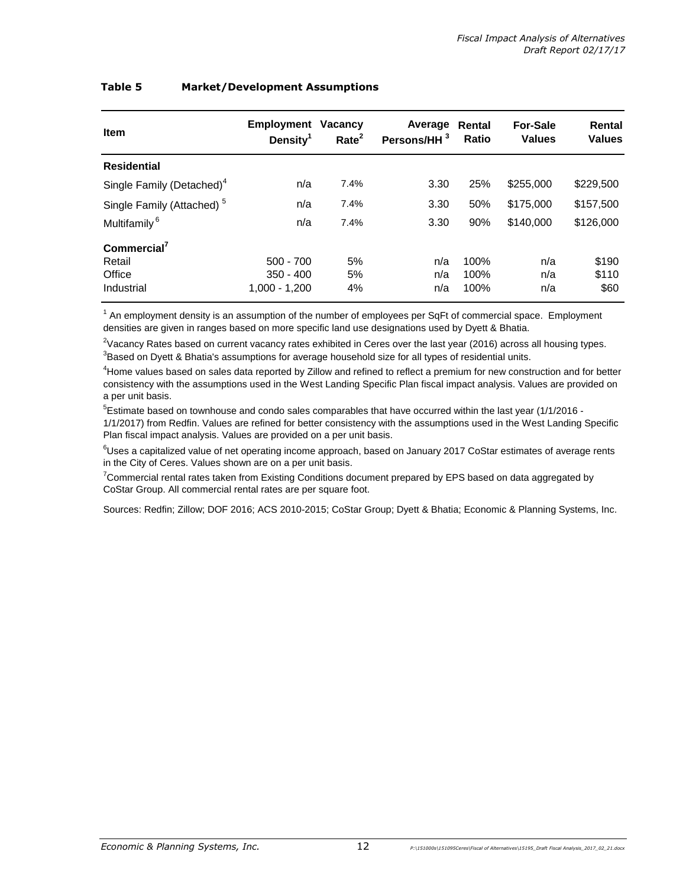| Table 5 | <b>Market/Development Assumptions</b> |
|---------|---------------------------------------|
|---------|---------------------------------------|

| <b>Item</b>                           | Employment<br>Density <sup>1</sup> | <b>Vacancy</b><br>Rate <sup>2</sup> | Average<br>Persons/HH <sup>3</sup> | Rental<br>Ratio | <b>For-Sale</b><br><b>Values</b> | Rental<br><b>Values</b> |
|---------------------------------------|------------------------------------|-------------------------------------|------------------------------------|-----------------|----------------------------------|-------------------------|
| <b>Residential</b>                    |                                    |                                     |                                    |                 |                                  |                         |
| Single Family (Detached) <sup>4</sup> | n/a                                | 7.4%                                | 3.30                               | 25%             | \$255,000                        | \$229,500               |
| Single Family (Attached) <sup>5</sup> | n/a                                | 7.4%                                | 3.30                               | 50%             | \$175,000                        | \$157,500               |
| Multifamily <sup>6</sup>              | n/a                                | 7.4%                                | 3.30                               | 90%             | \$140,000                        | \$126,000               |
| Commercial <sup>7</sup>               |                                    |                                     |                                    |                 |                                  |                         |
| Retail                                | $500 - 700$                        | 5%                                  | n/a                                | 100%            | n/a                              | \$190                   |
| Office                                | $350 - 400$                        | 5%                                  | n/a                                | 100%            | n/a                              | \$110                   |
| Industrial                            | 1,000 - 1,200                      | 4%                                  | n/a                                | 100%            | n/a                              | \$60                    |

<sup>1</sup> An employment density is an assumption of the number of employees per SqFt of commercial space. Employment densities are given in ranges based on more specific land use designations used by Dyett & Bhatia.

 $2$ Vacancy Rates based on current vacancy rates exhibited in Ceres over the last year (2016) across all housing types.

 $3B$ ased on Dyett & Bhatia's assumptions for average household size for all types of residential units.

<sup>4</sup>Home values based on sales data reported by Zillow and refined to reflect a premium for new construction and for better consistency with the assumptions used in the West Landing Specific Plan fiscal impact analysis. Values are provided on a per unit basis.

 $5$ Estimate based on townhouse and condo sales comparables that have occurred within the last year (1/1/2016 -1/1/2017) from Redfin. Values are refined for better consistency with the assumptions used in the West Landing Specific Plan fiscal impact analysis. Values are provided on a per unit basis.

<sup>6</sup>Uses a capitalized value of net operating income approach, based on January 2017 CoStar estimates of average rents in the City of Ceres. Values shown are on a per unit basis.

<sup>7</sup>Commercial rental rates taken from Existing Conditions document prepared by EPS based on data aggregated by CoStar Group. All commercial rental rates are per square foot.

Sources: Redfin; Zillow; DOF 2016; ACS 2010-2015; CoStar Group; Dyett & Bhatia; Economic & Planning Systems, Inc.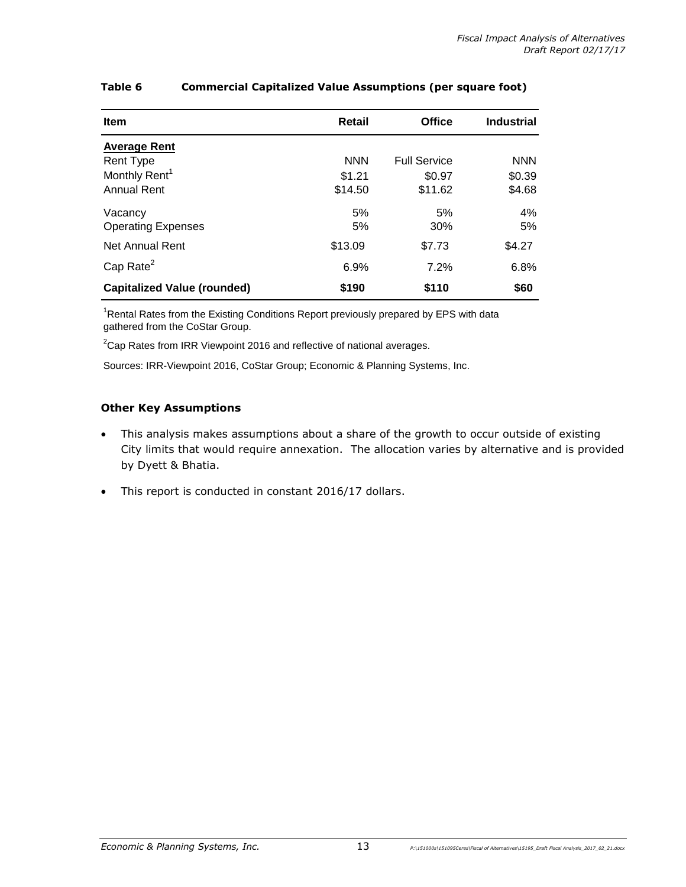| <b>Item</b>                                     | <b>Retail</b>     | <b>Office</b>       | <b>Industrial</b> |
|-------------------------------------------------|-------------------|---------------------|-------------------|
| <b>Average Rent</b><br>Rent Type                | <b>NNN</b>        | <b>Full Service</b> | <b>NNN</b>        |
| Monthly Rent <sup>1</sup><br><b>Annual Rent</b> | \$1.21<br>\$14.50 | \$0.97<br>\$11.62   | \$0.39<br>\$4.68  |
| Vacancy<br><b>Operating Expenses</b>            | 5%<br>5%          | 5%<br>30%           | 4%<br>5%          |
| Net Annual Rent                                 | \$13.09           | \$7.73              | \$4.27            |
| Cap Rate $2$                                    | 6.9%              | 7.2%                | 6.8%              |
| <b>Capitalized Value (rounded)</b>              | \$190             | \$110               | \$60              |

### **Table 6 Commercial Capitalized Value Assumptions (per square foot)**

<sup>1</sup>Rental Rates from the Existing Conditions Report previously prepared by EPS with data gathered from the CoStar Group.

 $2$ Cap Rates from IRR Viewpoint 2016 and reflective of national averages.

Sources: IRR-Viewpoint 2016, CoStar Group; Economic & Planning Systems, Inc.

#### **Other Key Assumptions**

- This analysis makes assumptions about a share of the growth to occur outside of existing City limits that would require annexation. The allocation varies by alternative and is provided by Dyett & Bhatia.
- This report is conducted in constant 2016/17 dollars.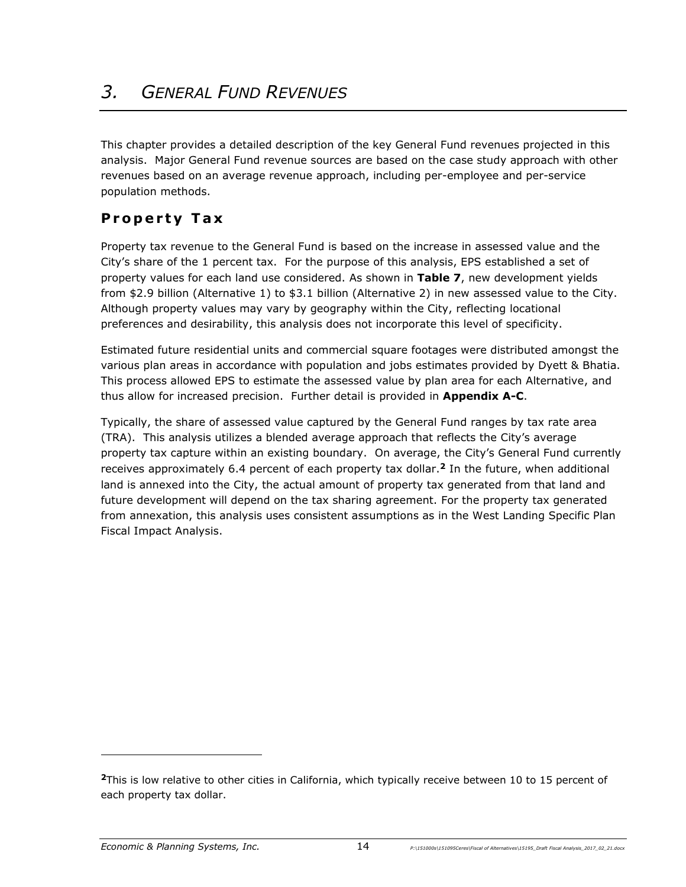This chapter provides a detailed description of the key General Fund revenues projected in this analysis. Major General Fund revenue sources are based on the case study approach with other revenues based on an average revenue approach, including per-employee and per-service population methods.

# **P r o p e r t y T a x**

Property tax revenue to the General Fund is based on the increase in assessed value and the City's share of the 1 percent tax. For the purpose of this analysis, EPS established a set of property values for each land use considered. As shown in **Table 7**, new development yields from \$2.9 billion (Alternative 1) to \$3.1 billion (Alternative 2) in new assessed value to the City. Although property values may vary by geography within the City, reflecting locational preferences and desirability, this analysis does not incorporate this level of specificity.

Estimated future residential units and commercial square footages were distributed amongst the various plan areas in accordance with population and jobs estimates provided by Dyett & Bhatia. This process allowed EPS to estimate the assessed value by plan area for each Alternative, and thus allow for increased precision. Further detail is provided in **Appendix A-C**.

Typically, the share of assessed value captured by the General Fund ranges by tax rate area (TRA). This analysis utilizes a blended average approach that reflects the City's average property tax capture within an existing boundary. On average, the City's General Fund currently receives approximately 6.4 percent of each property tax dollar.**<sup>2</sup>** In the future, when additional land is annexed into the City, the actual amount of property tax generated from that land and future development will depend on the tax sharing agreement. For the property tax generated from annexation, this analysis uses consistent assumptions as in the West Landing Specific Plan Fiscal Impact Analysis.

-

**<sup>2</sup>**This is low relative to other cities in California, which typically receive between 10 to 15 percent of each property tax dollar.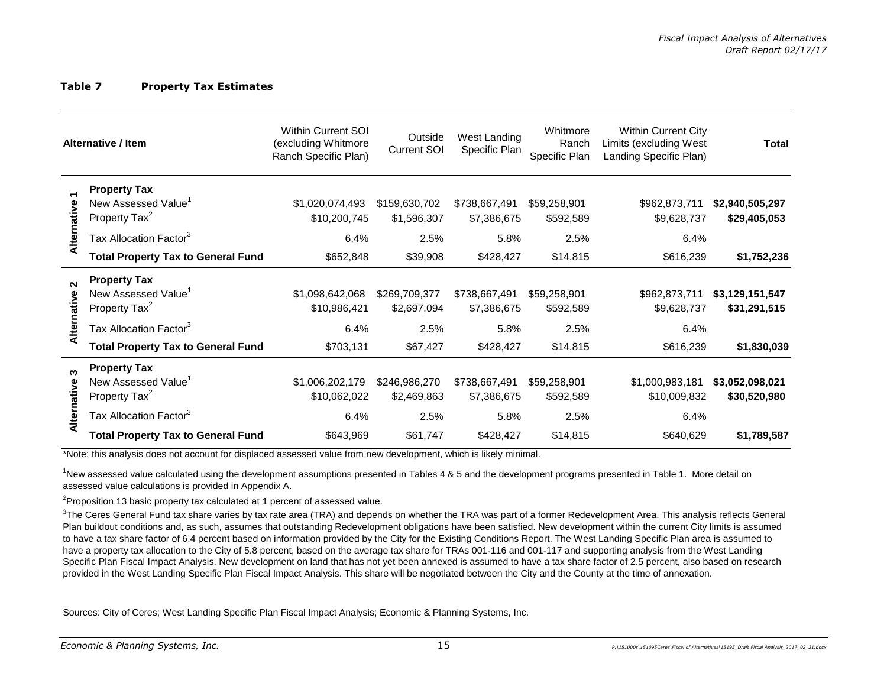#### **Table 7 Property Tax Estimates**

|                       | <b>Alternative / Item</b>                                                                                                                                                                                                                                                                                                                                                                                                               | Within Current SOI<br>(excluding Whitmore<br>Ranch Specific Plan) | Outside<br><b>Current SOI</b>        | West Landing<br>Specific Plan        | Whitmore<br>Ranch<br>Specific Plan | <b>Within Current City</b><br>Limits (excluding West<br>Landing Specific Plan) | Total                           |
|-----------------------|-----------------------------------------------------------------------------------------------------------------------------------------------------------------------------------------------------------------------------------------------------------------------------------------------------------------------------------------------------------------------------------------------------------------------------------------|-------------------------------------------------------------------|--------------------------------------|--------------------------------------|------------------------------------|--------------------------------------------------------------------------------|---------------------------------|
| Alternative           | <b>Property Tax</b><br>New Assessed Value <sup>1</sup><br>Property Tax <sup>2</sup><br>Tax Allocation Factor <sup>3</sup>                                                                                                                                                                                                                                                                                                               | \$1,020,074,493<br>\$10,200,745<br>6.4%                           | \$159,630,702<br>\$1,596,307<br>2.5% | \$738,667,491<br>\$7,386,675<br>5.8% | \$59,258,901<br>\$592,589<br>2.5%  | \$962,873,711<br>\$9,628,737<br>6.4%                                           | \$2,940,505,297<br>\$29,405,053 |
|                       | <b>Total Property Tax to General Fund</b>                                                                                                                                                                                                                                                                                                                                                                                               | \$652,848                                                         | \$39,908                             | \$428,427                            | \$14,815                           | \$616,239                                                                      | \$1,752,236                     |
| $\sim$<br>Alternative | <b>Property Tax</b><br>New Assessed Value <sup>1</sup><br>Property Tax <sup>2</sup>                                                                                                                                                                                                                                                                                                                                                     | \$1,098,642,068<br>\$10,986,421                                   | \$269,709,377<br>\$2,697,094         | \$738,667,491<br>\$7,386,675         | \$59,258,901<br>\$592,589          | \$962,873,711<br>\$9,628,737                                                   | \$3,129,151,547<br>\$31,291,515 |
|                       | Tax Allocation Factor <sup>3</sup><br><b>Total Property Tax to General Fund</b>                                                                                                                                                                                                                                                                                                                                                         | 6.4%<br>\$703,131                                                 | 2.5%<br>\$67,427                     | 5.8%<br>\$428,427                    | 2.5%<br>\$14,815                   | 6.4%<br>\$616,239                                                              | \$1,830,039                     |
| ო<br>Alternative      | <b>Property Tax</b><br>New Assessed Value <sup>1</sup><br>Property Tax <sup>2</sup><br>Tax Allocation Factor <sup>3</sup>                                                                                                                                                                                                                                                                                                               | \$1,006,202,179<br>\$10,062,022<br>6.4%                           | \$246,986,270<br>\$2,469,863<br>2.5% | \$738,667,491<br>\$7,386,675<br>5.8% | \$59,258,901<br>\$592,589<br>2.5%  | \$1,000,983,181<br>\$10,009,832<br>6.4%                                        | \$3,052,098,021<br>\$30,520,980 |
|                       | <b>Total Property Tax to General Fund</b>                                                                                                                                                                                                                                                                                                                                                                                               | \$643,969                                                         | \$61,747                             | \$428,427                            | \$14,815                           | \$640,629                                                                      | \$1,789,587                     |
|                       | *Note: this analysis does not account for displaced assessed value from new development, which is likely minimal.<br>New assessed value calculated using the development assumptions presented in Tables 4 & 5 and the development programs presented in Table 1. More detail on<br>assessed value calculations is provided in Appendix A.<br><sup>2</sup> Proposition 13 basic property tax calculated at 1 percent of assessed value. |                                                                   |                                      |                                      |                                    |                                                                                |                                 |

 $3$ The Ceres General Fund tax share varies by tax rate area (TRA) and depends on whether the TRA was part of a former Redevelopment Area. This analysis reflects General Plan buildout conditions and, as such, assumes that outstanding Redevelopment obligations have been satisfied. New development within the current City limits is assumed to have a tax share factor of 6.4 percent based on information provided by the City for the Existing Conditions Report. The West Landing Specific Plan area is assumed to have a property tax allocation to the City of 5.8 percent, based on the average tax share for TRAs 001-116 and 001-117 and supporting analysis from the West Landing Specific Plan Fiscal Impact Analysis. New development on land that has not yet been annexed is assumed to have a tax share factor of 2.5 percent, also based on research provided in the West Landing Specific Plan Fiscal Impact Analysis. This share will be negotiated between the City and the County at the time of annexation.

Sources: City of Ceres; West Landing Specific Plan Fiscal Impact Analysis; Economic & Planning Systems, Inc.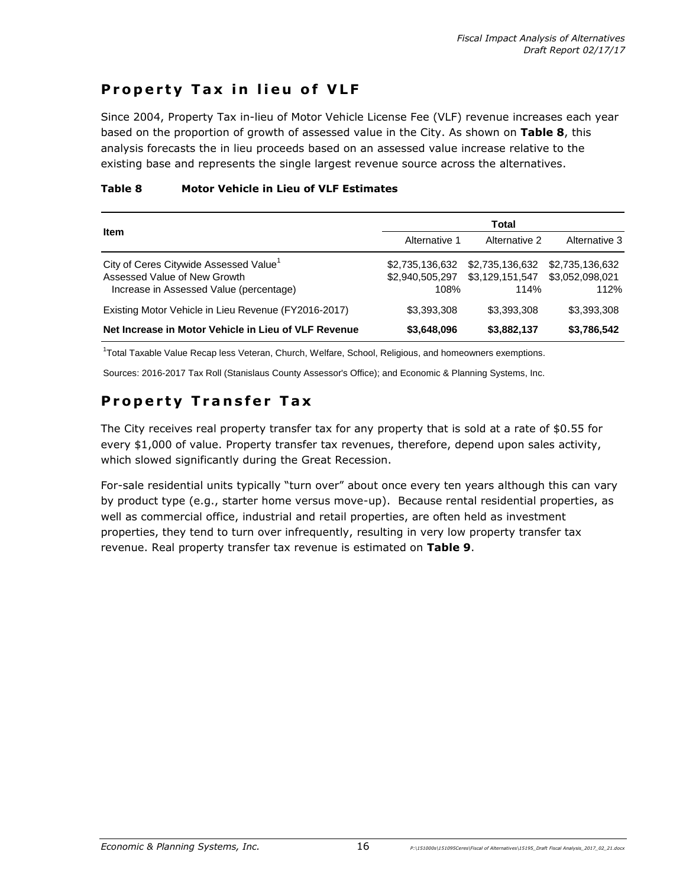### **Property Tax in lieu of VLF**

Since 2004, Property Tax in-lieu of Motor Vehicle License Fee (VLF) revenue increases each year based on the proportion of growth of assessed value in the City. As shown on **Table 8**, this analysis forecasts the in lieu proceeds based on an assessed value increase relative to the existing base and represents the single largest revenue source across the alternatives.

### **Table 8 Motor Vehicle in Lieu of VLF Estimates**

|                                                                                                                               | Total                                      |                                            |                                            |  |  |
|-------------------------------------------------------------------------------------------------------------------------------|--------------------------------------------|--------------------------------------------|--------------------------------------------|--|--|
| <b>Item</b>                                                                                                                   | Alternative 2<br>Alternative 1             |                                            | Alternative 3                              |  |  |
| City of Ceres Citywide Assessed Value <sup>1</sup><br>Assessed Value of New Growth<br>Increase in Assessed Value (percentage) | \$2,735,136,632<br>\$2,940,505,297<br>108% | \$2,735,136,632<br>\$3,129,151,547<br>114% | \$2,735,136,632<br>\$3,052,098,021<br>112% |  |  |
| Existing Motor Vehicle in Lieu Revenue (FY2016-2017)                                                                          | \$3,393,308                                | \$3,393,308                                | \$3,393,308                                |  |  |
| Net Increase in Motor Vehicle in Lieu of VLF Revenue                                                                          | \$3,648,096                                | \$3,882,137                                | \$3,786,542                                |  |  |

<sup>1</sup>Total Taxable Value Recap less Veteran, Church, Welfare, School, Religious, and homeowners exemptions.

Sources: 2016-2017 Tax Roll (Stanislaus County Assessor's Office); and Economic & Planning Systems, Inc.

# **Property Transfer Tax**

The City receives real property transfer tax for any property that is sold at a rate of \$0.55 for every \$1,000 of value. Property transfer tax revenues, therefore, depend upon sales activity, which slowed significantly during the Great Recession.

For-sale residential units typically "turn over" about once every ten years although this can vary by product type (e.g., starter home versus move-up). Because rental residential properties, as well as commercial office, industrial and retail properties, are often held as investment properties, they tend to turn over infrequently, resulting in very low property transfer tax revenue. Real property transfer tax revenue is estimated on **Table 9**.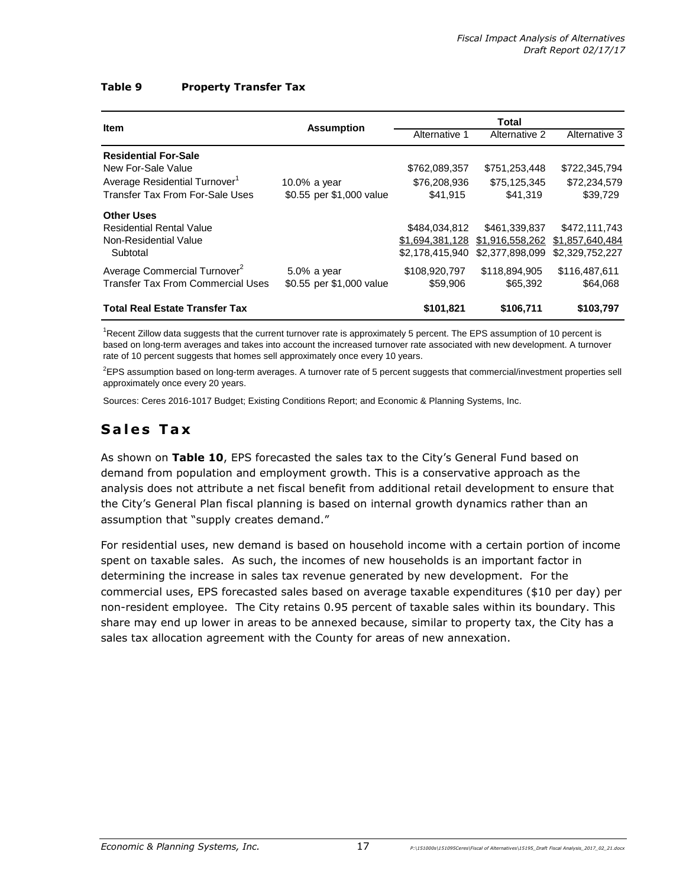#### **Table 9 Property Transfer Tax**

| <b>Item</b>                               |                          |                 | Total                           |                 |
|-------------------------------------------|--------------------------|-----------------|---------------------------------|-----------------|
|                                           | <b>Assumption</b>        | Alternative 1   | Alternative 2                   | Alternative 3   |
| <b>Residential For-Sale</b>               |                          |                 |                                 |                 |
| New For-Sale Value                        |                          | \$762,089,357   | \$751,253,448                   | \$722,345,794   |
| Average Residential Turnover <sup>1</sup> | 10.0% a year             | \$76,208,936    | \$75,125,345                    | \$72,234,579    |
| Transfer Tax From For-Sale Uses           | \$0.55 per \$1,000 value | \$41,915        | \$41,319                        | \$39,729        |
| <b>Other Uses</b>                         |                          |                 |                                 |                 |
| <b>Residential Rental Value</b>           |                          | \$484.034.812   | \$461,339,837                   | \$472,111,743   |
| Non-Residential Value                     |                          |                 | \$1,694,381,128 \$1,916,558,262 | \$1,857,640,484 |
| Subtotal                                  |                          | \$2.178.415.940 | \$2,377,898,099                 | \$2,329,752,227 |
| Average Commercial Turnover <sup>2</sup>  | $5.0\%$ a year           | \$108,920,797   | \$118,894,905                   | \$116,487,611   |
| <b>Transfer Tax From Commercial Uses</b>  | \$0.55 per \$1,000 value | \$59,906        | \$65,392                        | \$64,068        |
| <b>Total Real Estate Transfer Tax</b>     |                          | \$101,821       | \$106,711                       | \$103,797       |

<sup>1</sup>Recent Zillow data suggests that the current turnover rate is approximately 5 percent. The EPS assumption of 10 percent is based on long-term averages and takes into account the increased turnover rate associated with new development. A turnover rate of 10 percent suggests that homes sell approximately once every 10 years.

 ${}^{2}$ EPS assumption based on long-term averages. A turnover rate of 5 percent suggests that commercial/investment properties sell approximately once every 20 years.

Sources: Ceres 2016-1017 Budget; Existing Conditions Report; and Economic & Planning Systems, Inc.

# **S a l e s T a x**

As shown on **Table 10**, EPS forecasted the sales tax to the City's General Fund based on demand from population and employment growth. This is a conservative approach as the analysis does not attribute a net fiscal benefit from additional retail development to ensure that the City's General Plan fiscal planning is based on internal growth dynamics rather than an assumption that "supply creates demand."

For residential uses, new demand is based on household income with a certain portion of income spent on taxable sales. As such, the incomes of new households is an important factor in determining the increase in sales tax revenue generated by new development. For the commercial uses, EPS forecasted sales based on average taxable expenditures (\$10 per day) per non-resident employee. The City retains 0.95 percent of taxable sales within its boundary. This share may end up lower in areas to be annexed because, similar to property tax, the City has a sales tax allocation agreement with the County for areas of new annexation.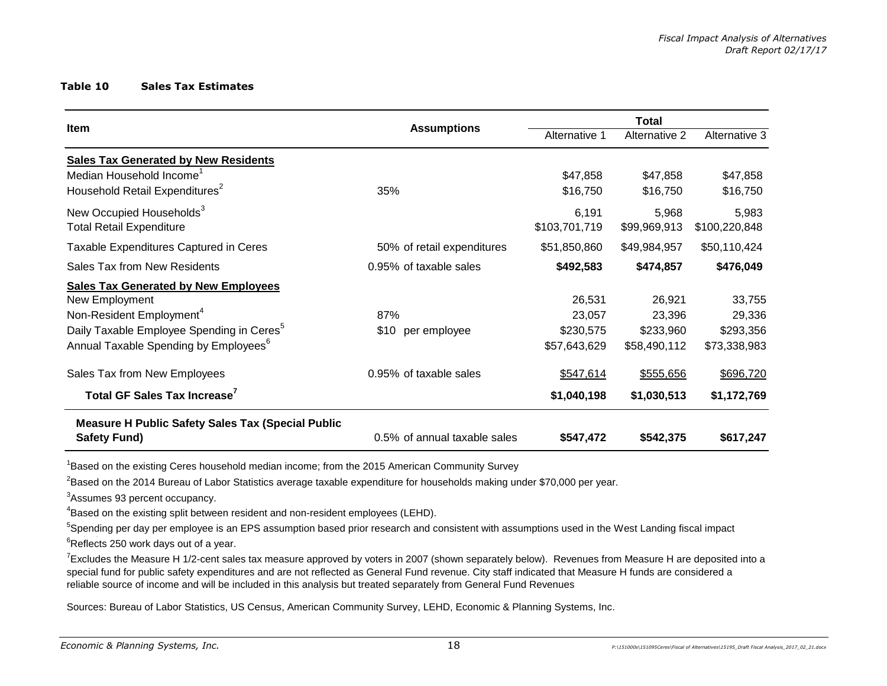#### **Table 10 Sales Tax Estimates**

| Item                                                     | <b>Assumptions</b>           | Alternative 1 | Alternative 2 | Alternative 3 |
|----------------------------------------------------------|------------------------------|---------------|---------------|---------------|
| <b>Sales Tax Generated by New Residents</b>              |                              |               |               |               |
| Median Household Income <sup>1</sup>                     |                              | \$47,858      | \$47,858      | \$47,858      |
| Household Retail Expenditures <sup>2</sup>               | 35%                          | \$16,750      | \$16,750      | \$16,750      |
| New Occupied Households <sup>3</sup>                     |                              | 6,191         | 5,968         | 5,983         |
| <b>Total Retail Expenditure</b>                          |                              | \$103,701,719 | \$99,969,913  | \$100,220,848 |
| Taxable Expenditures Captured in Ceres                   | 50% of retail expenditures   | \$51,850,860  | \$49,984,957  | \$50,110,424  |
| Sales Tax from New Residents                             | 0.95% of taxable sales       | \$492,583     | \$474,857     | \$476,049     |
| <b>Sales Tax Generated by New Employees</b>              |                              |               |               |               |
| New Employment                                           |                              | 26,531        | 26,921        | 33,755        |
| Non-Resident Employment <sup>4</sup>                     | 87%                          | 23,057        | 23,396        | 29,336        |
| Daily Taxable Employee Spending in Ceres <sup>5</sup>    | per employee<br>\$10         | \$230,575     | \$233,960     | \$293,356     |
| Annual Taxable Spending by Employees <sup>6</sup>        |                              | \$57,643,629  | \$58,490,112  | \$73,338,983  |
| Sales Tax from New Employees                             | 0.95% of taxable sales       | \$547,614     | \$555,656     | \$696,720     |
| Total GF Sales Tax Increase <sup>7</sup>                 |                              | \$1,040,198   | \$1,030,513   | \$1,172,769   |
| <b>Measure H Public Safety Sales Tax (Special Public</b> |                              |               |               |               |
| <b>Safety Fund)</b>                                      | 0.5% of annual taxable sales | \$547,472     | \$542,375     | \$617,247     |

<sup>1</sup>Based on the existing Ceres household median income; from the 2015 American Community Survey

<sup>2</sup>Based on the 2014 Bureau of Labor Statistics average taxable expenditure for households making under \$70,000 per year.

<sup>3</sup>Assumes 93 percent occupancy.

<sup>4</sup>Based on the existing split between resident and non-resident employees (LEHD).

<sup>5</sup>Spending per day per employee is an EPS assumption based prior research and consistent with assumptions used in the West Landing fiscal impact

 $6$ Reflects 250 work days out of a year.

<sup>7</sup>Excludes the Measure H 1/2-cent sales tax measure approved by voters in 2007 (shown separately below). Revenues from Measure H are deposited into a special fund for public safety expenditures and are not reflected as General Fund revenue. City staff indicated that Measure H funds are considered a reliable source of income and will be included in this analysis but treated separately from General Fund Revenues

Sources: Bureau of Labor Statistics, US Census, American Community Survey, LEHD, Economic & Planning Systems, Inc.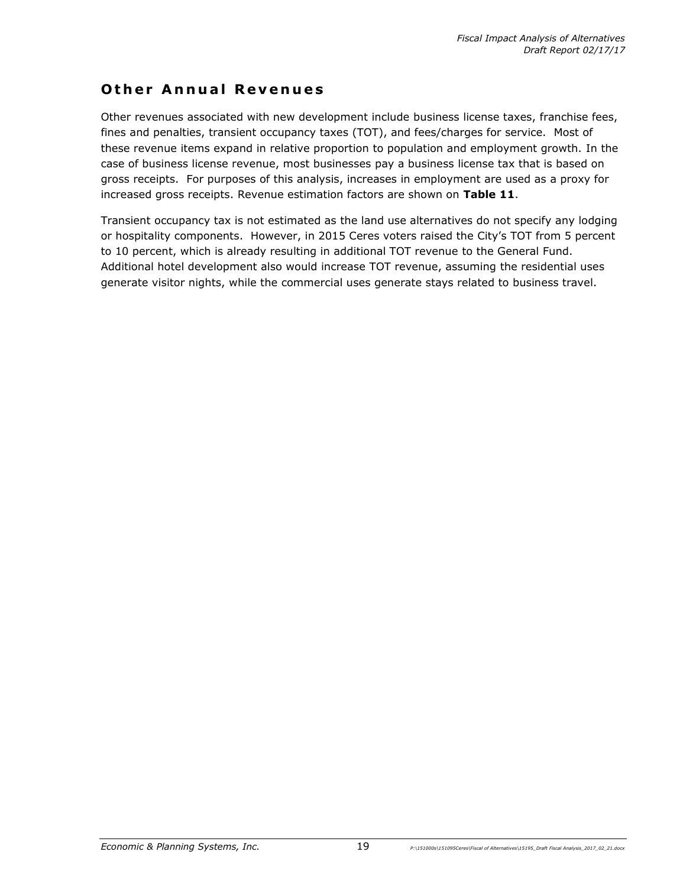### **Other Annual Revenues**

Other revenues associated with new development include business license taxes, franchise fees, fines and penalties, transient occupancy taxes (TOT), and fees/charges for service. Most of these revenue items expand in relative proportion to population and employment growth. In the case of business license revenue, most businesses pay a business license tax that is based on gross receipts. For purposes of this analysis, increases in employment are used as a proxy for increased gross receipts. Revenue estimation factors are shown on **Table 11**.

Transient occupancy tax is not estimated as the land use alternatives do not specify any lodging or hospitality components. However, in 2015 Ceres voters raised the City's TOT from 5 percent to 10 percent, which is already resulting in additional TOT revenue to the General Fund. Additional hotel development also would increase TOT revenue, assuming the residential uses generate visitor nights, while the commercial uses generate stays related to business travel.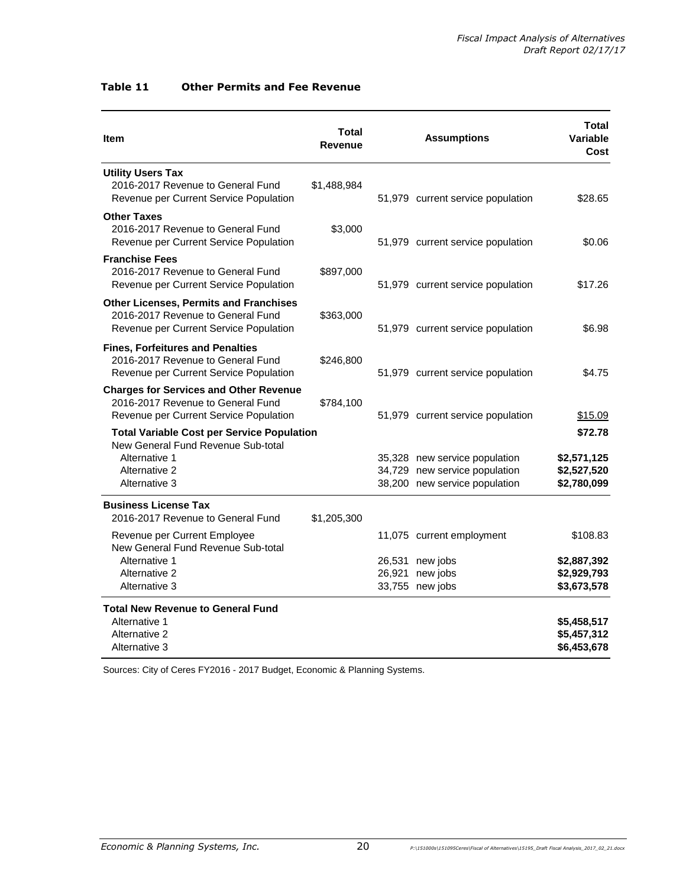| Item                                                                                                                                       | <b>Total</b><br><b>Revenue</b> | <b>Assumptions</b> |                                                                                                 | Total<br>Variable<br>Cost                             |
|--------------------------------------------------------------------------------------------------------------------------------------------|--------------------------------|--------------------|-------------------------------------------------------------------------------------------------|-------------------------------------------------------|
| <b>Utility Users Tax</b><br>2016-2017 Revenue to General Fund<br>Revenue per Current Service Population                                    | \$1,488,984                    |                    | 51,979 current service population                                                               | \$28.65                                               |
| <b>Other Taxes</b><br>2016-2017 Revenue to General Fund<br>Revenue per Current Service Population                                          | \$3,000                        |                    | 51,979 current service population                                                               | \$0.06                                                |
| <b>Franchise Fees</b><br>2016-2017 Revenue to General Fund<br>Revenue per Current Service Population                                       | \$897,000                      |                    | 51,979 current service population                                                               | \$17.26                                               |
| <b>Other Licenses, Permits and Franchises</b><br>2016-2017 Revenue to General Fund<br>Revenue per Current Service Population               | \$363,000                      |                    | 51,979 current service population                                                               | \$6.98                                                |
| <b>Fines, Forfeitures and Penalties</b><br>2016-2017 Revenue to General Fund<br>Revenue per Current Service Population                     | \$246,800                      |                    | 51,979 current service population                                                               | \$4.75                                                |
| <b>Charges for Services and Other Revenue</b><br>2016-2017 Revenue to General Fund<br>Revenue per Current Service Population               | \$784,100                      |                    | 51,979 current service population                                                               | \$15.09                                               |
| <b>Total Variable Cost per Service Population</b><br>New General Fund Revenue Sub-total<br>Alternative 1<br>Alternative 2<br>Alternative 3 |                                |                    | 35,328 new service population<br>34,729 new service population<br>38,200 new service population | \$72.78<br>\$2,571,125<br>\$2,527,520<br>\$2,780,099  |
| <b>Business License Tax</b><br>2016-2017 Revenue to General Fund                                                                           | \$1,205,300                    |                    |                                                                                                 |                                                       |
| Revenue per Current Employee<br>New General Fund Revenue Sub-total<br>Alternative 1<br>Alternative 2<br>Alternative 3                      |                                |                    | 11,075 current employment<br>26,531 new jobs<br>26,921 new jobs<br>33,755 new jobs              | \$108.83<br>\$2,887,392<br>\$2,929,793<br>\$3,673,578 |
| <b>Total New Revenue to General Fund</b><br>Alternative 1<br>Alternative 2<br>Alternative 3                                                |                                |                    |                                                                                                 | \$5,458,517<br>\$5,457,312<br>\$6,453,678             |

#### **Table 11 Other Permits and Fee Revenue**

Sources: City of Ceres FY2016 - 2017 Budget, Economic & Planning Systems.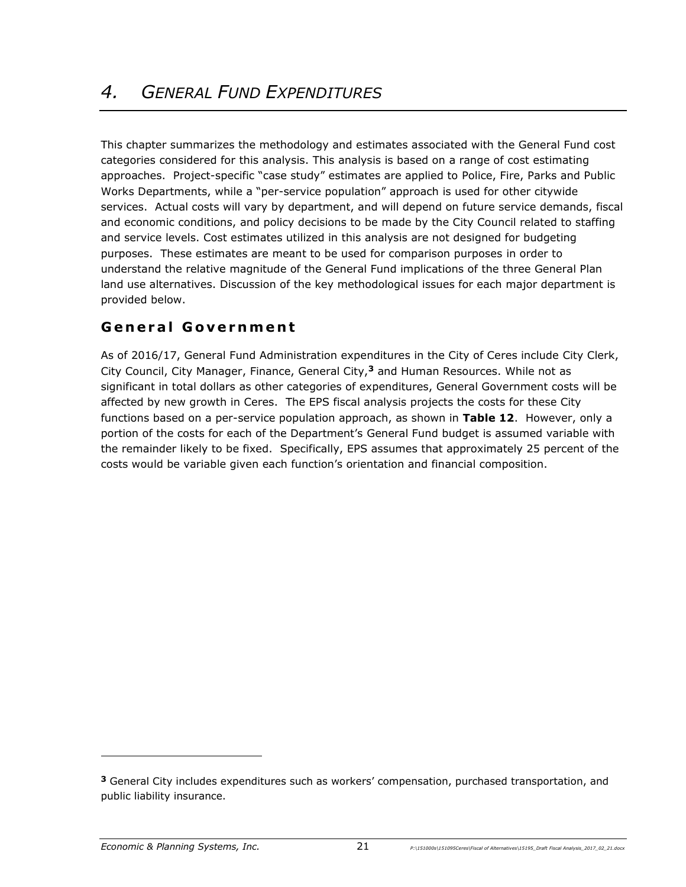This chapter summarizes the methodology and estimates associated with the General Fund cost categories considered for this analysis. This analysis is based on a range of cost estimating approaches. Project-specific "case study" estimates are applied to Police, Fire, Parks and Public Works Departments, while a "per-service population" approach is used for other citywide services. Actual costs will vary by department, and will depend on future service demands, fiscal and economic conditions, and policy decisions to be made by the City Council related to staffing and service levels. Cost estimates utilized in this analysis are not designed for budgeting purposes. These estimates are meant to be used for comparison purposes in order to understand the relative magnitude of the General Fund implications of the three General Plan land use alternatives. Discussion of the key methodological issues for each major department is provided below.

# **G e n e r a l G o v e r nm e n t**

As of 2016/17, General Fund Administration expenditures in the City of Ceres include City Clerk, City Council, City Manager, Finance, General City,**<sup>3</sup>** and Human Resources. While not as significant in total dollars as other categories of expenditures, General Government costs will be affected by new growth in Ceres. The EPS fiscal analysis projects the costs for these City functions based on a per-service population approach, as shown in **Table 12**. However, only a portion of the costs for each of the Department's General Fund budget is assumed variable with the remainder likely to be fixed. Specifically, EPS assumes that approximately 25 percent of the costs would be variable given each function's orientation and financial composition.

-

**<sup>3</sup>** General City includes expenditures such as workers' compensation, purchased transportation, and public liability insurance.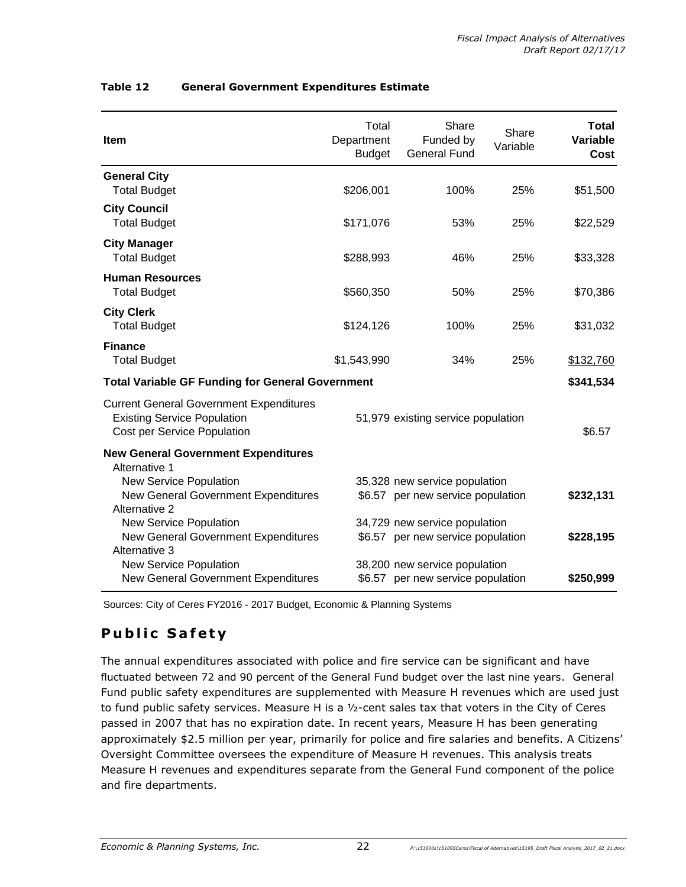| Item                                                                                                                | Total<br>Department<br><b>Budget</b> | Share<br>Funded by<br><b>General Fund</b>                          | Share<br>Variable | <b>Total</b><br>Variable<br><b>Cost</b> |
|---------------------------------------------------------------------------------------------------------------------|--------------------------------------|--------------------------------------------------------------------|-------------------|-----------------------------------------|
| <b>General City</b><br><b>Total Budget</b>                                                                          | \$206,001                            | 100%                                                               | 25%               | \$51,500                                |
| <b>City Council</b><br><b>Total Budget</b>                                                                          | \$171,076                            | 53%                                                                | 25%               | \$22,529                                |
| <b>City Manager</b><br><b>Total Budget</b>                                                                          | \$288,993                            | 46%                                                                | 25%               | \$33,328                                |
| <b>Human Resources</b><br><b>Total Budget</b>                                                                       | \$560,350                            | 50%                                                                | 25%               | \$70,386                                |
| <b>City Clerk</b><br><b>Total Budget</b>                                                                            | \$124,126                            | 100%                                                               | 25%               | \$31,032                                |
| <b>Finance</b><br><b>Total Budget</b>                                                                               | \$1,543,990                          | 34%                                                                | 25%               | \$132,760                               |
| <b>Total Variable GF Funding for General Government</b>                                                             |                                      |                                                                    |                   | \$341,534                               |
| <b>Current General Government Expenditures</b><br><b>Existing Service Population</b><br>Cost per Service Population |                                      | 51,979 existing service population                                 |                   | \$6.57                                  |
| <b>New General Government Expenditures</b><br>Alternative 1                                                         |                                      |                                                                    |                   |                                         |
| New Service Population<br>New General Government Expenditures<br>Alternative 2                                      |                                      | 35,328 new service population<br>\$6.57 per new service population |                   | \$232,131                               |
| New Service Population<br>New General Government Expenditures<br>Alternative 3                                      |                                      | 34,729 new service population<br>\$6.57 per new service population |                   | \$228,195                               |
| New Service Population<br>New General Government Expenditures                                                       |                                      | 38,200 new service population<br>\$6.57 per new service population |                   | \$250,999                               |

#### **Table 12 General Government Expenditures Estimate**

Sources: City of Ceres FY2016 - 2017 Budget, Economic & Planning Systems

# **Public Safety**

The annual expenditures associated with police and fire service can be significant and have fluctuated between 72 and 90 percent of the General Fund budget over the last nine years. General Fund public safety expenditures are supplemented with Measure H revenues which are used just to fund public safety services. Measure H is a ½-cent sales tax that voters in the City of Ceres passed in 2007 that has no expiration date. In recent years, Measure H has been generating approximately \$2.5 million per year, primarily for police and fire salaries and benefits. A Citizens' Oversight Committee oversees the expenditure of Measure H revenues. This analysis treats Measure H revenues and expenditures separate from the General Fund component of the police and fire departments.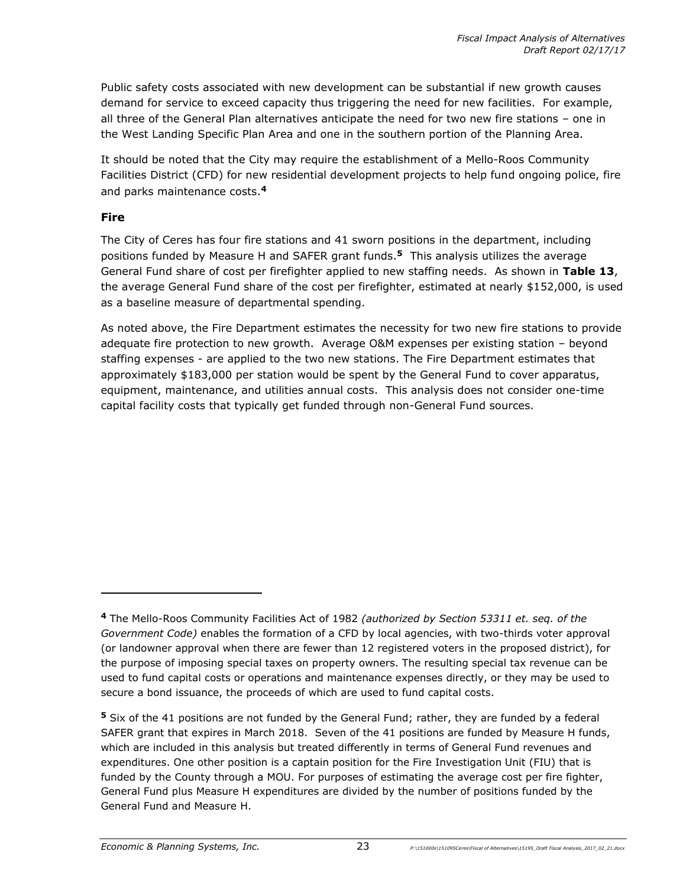Public safety costs associated with new development can be substantial if new growth causes demand for service to exceed capacity thus triggering the need for new facilities. For example, all three of the General Plan alternatives anticipate the need for two new fire stations – one in the West Landing Specific Plan Area and one in the southern portion of the Planning Area.

It should be noted that the City may require the establishment of a Mello-Roos Community Facilities District (CFD) for new residential development projects to help fund ongoing police, fire and parks maintenance costs.**<sup>4</sup>**

### **Fire**

The City of Ceres has four fire stations and 41 sworn positions in the department, including positions funded by Measure H and SAFER grant funds. **<sup>5</sup>** This analysis utilizes the average General Fund share of cost per firefighter applied to new staffing needs. As shown in **Table 13**, the average General Fund share of the cost per firefighter, estimated at nearly \$152,000, is used as a baseline measure of departmental spending.

As noted above, the Fire Department estimates the necessity for two new fire stations to provide adequate fire protection to new growth. Average O&M expenses per existing station – beyond staffing expenses - are applied to the two new stations. The Fire Department estimates that approximately \$183,000 per station would be spent by the General Fund to cover apparatus, equipment, maintenance, and utilities annual costs. This analysis does not consider one-time capital facility costs that typically get funded through non-General Fund sources.

**<sup>4</sup>** The Mello-Roos Community Facilities Act of 1982 *(authorized by Section 53311 et. seq. of the Government Code)* enables the formation of a CFD by local agencies, with two-thirds voter approval (or landowner approval when there are fewer than 12 registered voters in the proposed district), for the purpose of imposing special taxes on property owners. The resulting special tax revenue can be used to fund capital costs or operations and maintenance expenses directly, or they may be used to secure a bond issuance, the proceeds of which are used to fund capital costs.

**<sup>5</sup>** Six of the 41 positions are not funded by the General Fund; rather, they are funded by a federal SAFER grant that expires in March 2018. Seven of the 41 positions are funded by Measure H funds, which are included in this analysis but treated differently in terms of General Fund revenues and expenditures. One other position is a captain position for the Fire Investigation Unit (FIU) that is funded by the County through a MOU. For purposes of estimating the average cost per fire fighter, General Fund plus Measure H expenditures are divided by the number of positions funded by the General Fund and Measure H.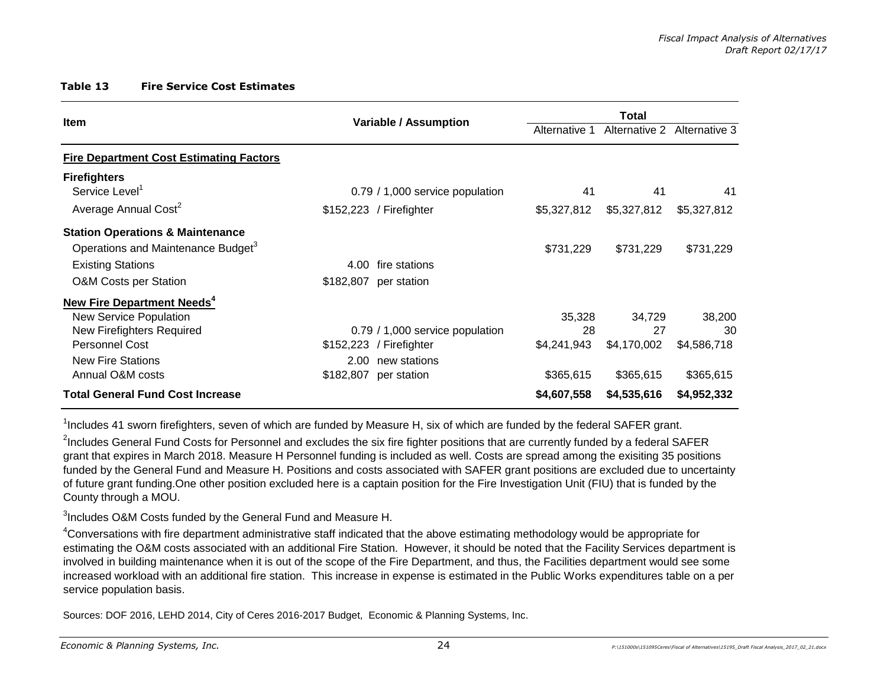#### **Table 13 Fire Service Cost Estimates**

| <b>Item</b>                                    |           | <b>Variable / Assumption</b>    | Alternative 1<br>Alternative 2<br>Alternative 3 |             |             |
|------------------------------------------------|-----------|---------------------------------|-------------------------------------------------|-------------|-------------|
| <b>Fire Department Cost Estimating Factors</b> |           |                                 |                                                 |             |             |
| <b>Firefighters</b>                            |           |                                 |                                                 |             |             |
| Service Level <sup>1</sup>                     |           | 0.79 / 1,000 service population | 41                                              | 41          | 41          |
| Average Annual Cost <sup>2</sup>               |           | \$152,223 / Firefighter         | \$5,327,812                                     | \$5,327,812 | \$5,327,812 |
| <b>Station Operations &amp; Maintenance</b>    |           |                                 |                                                 |             |             |
| Operations and Maintenance Budget <sup>3</sup> |           |                                 | \$731,229                                       | \$731,229   | \$731,229   |
| <b>Existing Stations</b>                       | 4.00      | fire stations                   |                                                 |             |             |
| <b>O&amp;M Costs per Station</b>               | \$182,807 | per station                     |                                                 |             |             |
| <b>New Fire Department Needs<sup>4</sup></b>   |           |                                 |                                                 |             |             |
| <b>New Service Population</b>                  |           |                                 | 35,328                                          | 34,729      | 38,200      |
| New Firefighters Required                      |           | 0.79 / 1,000 service population | 28                                              | 27          | 30          |
| <b>Personnel Cost</b>                          |           | \$152,223 / Firefighter         | \$4,241,943                                     | \$4,170,002 | \$4,586,718 |
| <b>New Fire Stations</b>                       | 2.00      | new stations                    |                                                 |             |             |
| Annual O&M costs                               | \$182,807 | per station                     | \$365,615                                       | \$365,615   | \$365,615   |
| <b>Total General Fund Cost Increase</b>        |           |                                 | \$4,607,558                                     | \$4,535,616 | \$4,952,332 |

 $1$ Includes 41 sworn firefighters, seven of which are funded by Measure H, six of which are funded by the federal SAFER grant.

<sup>2</sup>Includes General Fund Costs for Personnel and excludes the six fire fighter positions that are currently funded by a federal SAFER grant that expires in March 2018. Measure H Personnel funding is included as well. Costs are spread among the exisiting 35 positions funded by the General Fund and Measure H. Positions and costs associated with SAFER grant positions are excluded due to uncertainty of future grant funding.One other position excluded here is a captain position for the Fire Investigation Unit (FIU) that is funded by the County through a MOU.

 $3$ Includes O&M Costs funded by the General Fund and Measure H.

<sup>4</sup>Conversations with fire department administrative staff indicated that the above estimating methodology would be appropriate for estimating the O&M costs associated with an additional Fire Station. However, it should be noted that the Facility Services department is involved in building maintenance when it is out of the scope of the Fire Department, and thus, the Facilities department would see some increased workload with an additional fire station. This increase in expense is estimated in the Public Works expenditures table on a per service population basis.

Sources: DOF 2016, LEHD 2014, City of Ceres 2016-2017 Budget, Economic & Planning Systems, Inc.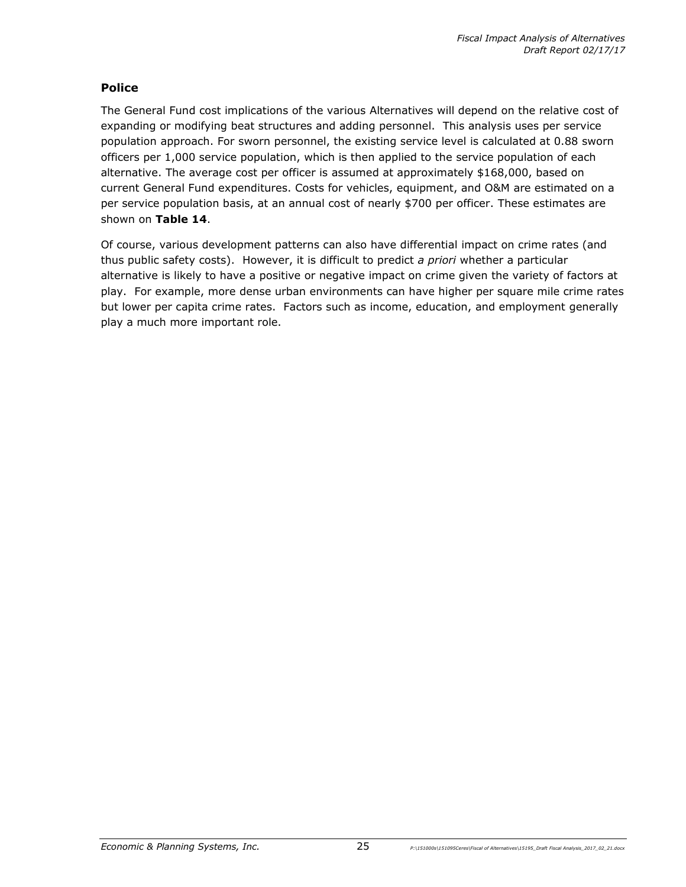### **Police**

The General Fund cost implications of the various Alternatives will depend on the relative cost of expanding or modifying beat structures and adding personnel. This analysis uses per service population approach. For sworn personnel, the existing service level is calculated at 0.88 sworn officers per 1,000 service population, which is then applied to the service population of each alternative. The average cost per officer is assumed at approximately \$168,000, based on current General Fund expenditures. Costs for vehicles, equipment, and O&M are estimated on a per service population basis, at an annual cost of nearly \$700 per officer. These estimates are shown on **Table 14**.

Of course, various development patterns can also have differential impact on crime rates (and thus public safety costs). However, it is difficult to predict *a priori* whether a particular alternative is likely to have a positive or negative impact on crime given the variety of factors at play. For example, more dense urban environments can have higher per square mile crime rates but lower per capita crime rates. Factors such as income, education, and employment generally play a much more important role.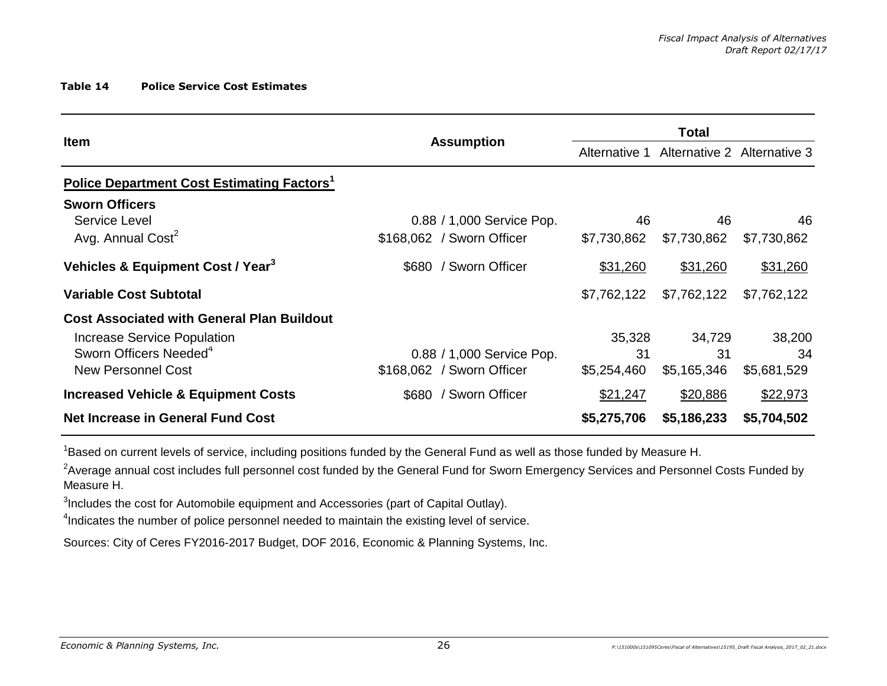#### **Table 14 Police Service Cost Estimates**

| <b>Item</b>                                                   | <b>Assumption</b>         | Alternative 1 |             | Alternative 2 Alternative 3 |
|---------------------------------------------------------------|---------------------------|---------------|-------------|-----------------------------|
| <b>Police Department Cost Estimating Factors</b> <sup>1</sup> |                           |               |             |                             |
| <b>Sworn Officers</b>                                         |                           |               |             |                             |
| Service Level                                                 | 0.88 / 1,000 Service Pop. | 46            | 46          | 46                          |
| Avg. Annual Cost <sup>2</sup>                                 | \$168,062 / Sworn Officer | \$7,730,862   | \$7,730,862 | \$7,730,862                 |
| Vehicles & Equipment Cost / Year <sup>3</sup>                 | / Sworn Officer<br>\$680  | \$31,260      | \$31,260    | \$31,260                    |
| <b>Variable Cost Subtotal</b>                                 |                           | \$7,762,122   | \$7,762,122 | \$7,762,122                 |
| <b>Cost Associated with General Plan Buildout</b>             |                           |               |             |                             |
| Increase Service Population                                   |                           | 35,328        | 34,729      | 38,200                      |
| Sworn Officers Needed <sup>4</sup>                            | 0.88 / 1,000 Service Pop. | 31            | 31          | 34                          |
| <b>New Personnel Cost</b>                                     | \$168,062 / Sworn Officer | \$5,254,460   | \$5,165,346 | \$5,681,529                 |
| <b>Increased Vehicle &amp; Equipment Costs</b>                | \$680 / Sworn Officer     | \$21,247      | \$20,886    | \$22,973                    |
| <b>Net Increase in General Fund Cost</b>                      |                           | \$5,275,706   | \$5,186,233 | \$5,704,502                 |

<sup>1</sup>Based on current levels of service, including positions funded by the General Fund as well as those funded by Measure H.

 $^2$ Average annual cost includes full personnel cost funded by the General Fund for Sworn Emergency Services and Personnel Costs Funded by Measure H.

 $3$ Includes the cost for Automobile equipment and Accessories (part of Capital Outlay).

<sup>4</sup>Indicates the number of police personnel needed to maintain the existing level of service.

Sources: City of Ceres FY2016-2017 Budget, DOF 2016, Economic & Planning Systems, Inc.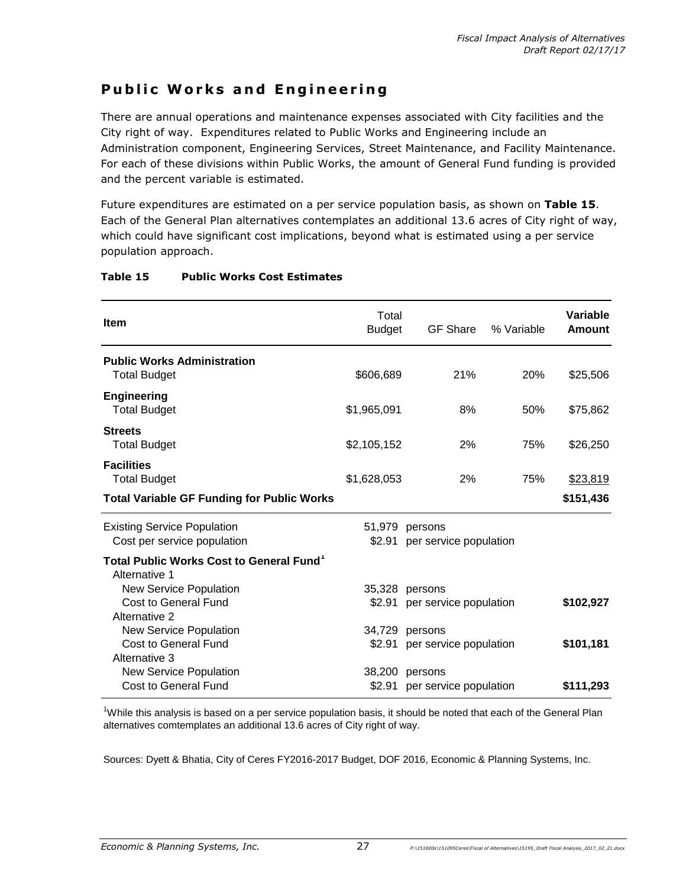# **Public Works and Engineering**

There are annual operations and maintenance expenses associated with City facilities and the City right of way. Expenditures related to Public Works and Engineering include an Administration component, Engineering Services, Street Maintenance, and Facility Maintenance. For each of these divisions within Public Works, the amount of General Fund funding is provided and the percent variable is estimated.

Future expenditures are estimated on a per service population basis, as shown on **Table 15**. Each of the General Plan alternatives contemplates an additional 13.6 acres of City right of way, which could have significant cost implications, beyond what is estimated using a per service population approach.

| <b>Item</b>                                                           | Total<br><b>Budget</b> | <b>GF Share</b>                   | % Variable | Variable<br>Amount |
|-----------------------------------------------------------------------|------------------------|-----------------------------------|------------|--------------------|
| <b>Public Works Administration</b><br><b>Total Budget</b>             | \$606,689              | 21%                               | 20%        | \$25,506           |
| <b>Engineering</b><br><b>Total Budget</b>                             | \$1,965,091            | 8%                                | 50%        | \$75,862           |
| <b>Streets</b><br><b>Total Budget</b>                                 | \$2,105,152            | 2%                                | 75%        | \$26,250           |
| <b>Facilities</b><br><b>Total Budget</b>                              | \$1,628,053            | 2%                                | 75%        | \$23,819           |
| <b>Total Variable GF Funding for Public Works</b>                     |                        |                                   |            | \$151,436          |
| <b>Existing Service Population</b><br>Cost per service population     | 51,979<br>\$2.91       | persons<br>per service population |            |                    |
| Total Public Works Cost to General Fund <sup>1</sup><br>Alternative 1 |                        |                                   |            |                    |
| New Service Population                                                |                        | 35,328 persons                    |            |                    |
| Cost to General Fund<br>Alternative 2                                 | \$2.91                 | per service population            |            | \$102,927          |
| New Service Population                                                | 34,729                 | persons                           |            |                    |
| Cost to General Fund                                                  | \$2.91                 | per service population            |            | \$101,181          |
| Alternative 3                                                         |                        |                                   |            |                    |
| New Service Population                                                | 38,200                 | persons                           |            |                    |
| Cost to General Fund                                                  | \$2.91                 | per service population            |            | \$111,293          |

### **Table 15 Public Works Cost Estimates**

<sup>1</sup>While this analysis is based on a per service population basis, it should be noted that each of the General Plan alternatives comtemplates an additional 13.6 acres of City right of way.

Sources: Dyett & Bhatia, City of Ceres FY2016-2017 Budget, DOF 2016, Economic & Planning Systems, Inc.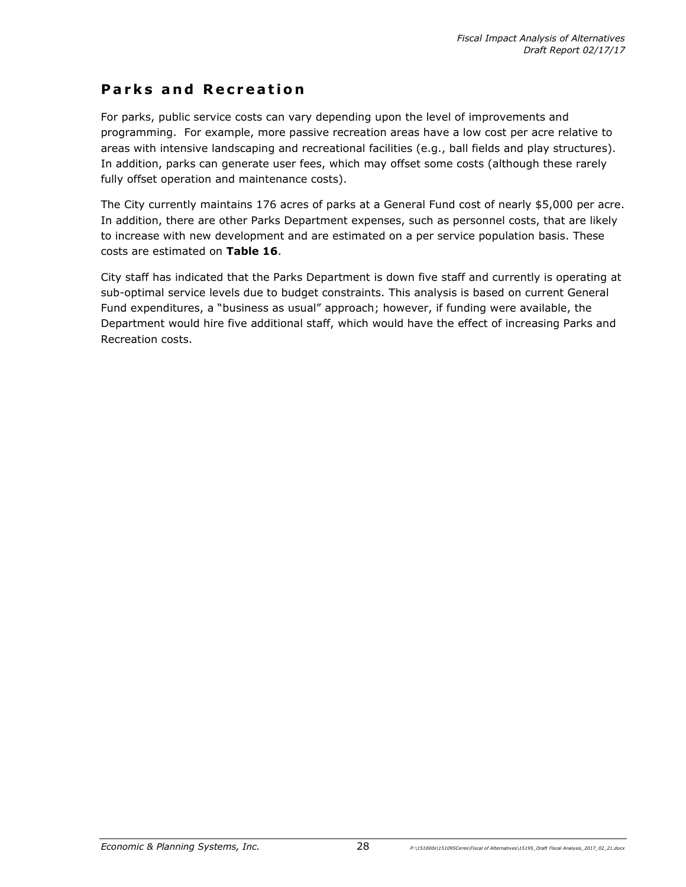### **Parks and Recreation**

For parks, public service costs can vary depending upon the level of improvements and programming. For example, more passive recreation areas have a low cost per acre relative to areas with intensive landscaping and recreational facilities (e.g., ball fields and play structures). In addition, parks can generate user fees, which may offset some costs (although these rarely fully offset operation and maintenance costs).

The City currently maintains 176 acres of parks at a General Fund cost of nearly \$5,000 per acre. In addition, there are other Parks Department expenses, such as personnel costs, that are likely to increase with new development and are estimated on a per service population basis. These costs are estimated on **Table 16**.

City staff has indicated that the Parks Department is down five staff and currently is operating at sub-optimal service levels due to budget constraints. This analysis is based on current General Fund expenditures, a "business as usual" approach; however, if funding were available, the Department would hire five additional staff, which would have the effect of increasing Parks and Recreation costs.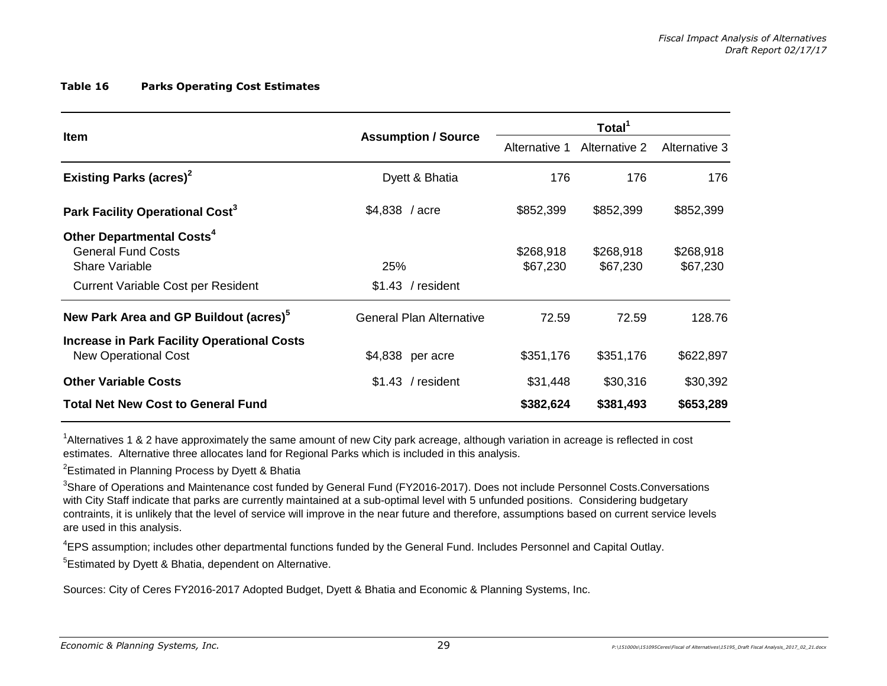#### **Table 16 Parks Operating Cost Estimates**

|                                                                                                                                   |                                 |                       | Total <sup>1</sup>    |                       |  |
|-----------------------------------------------------------------------------------------------------------------------------------|---------------------------------|-----------------------|-----------------------|-----------------------|--|
| <b>Item</b>                                                                                                                       | <b>Assumption / Source</b>      | Alternative 1         | Alternative 2         | Alternative 3         |  |
| <b>Existing Parks (acres)<sup>2</sup></b>                                                                                         | Dyett & Bhatia                  | 176                   | 176                   | 176                   |  |
| Park Facility Operational Cost <sup>3</sup>                                                                                       | $$4,838$ / acre                 | \$852,399             | \$852,399             | \$852,399             |  |
| Other Departmental Costs <sup>4</sup><br><b>General Fund Costs</b><br>Share Variable<br><b>Current Variable Cost per Resident</b> | 25%<br>$$1.43$ / resident       | \$268,918<br>\$67,230 | \$268,918<br>\$67,230 | \$268,918<br>\$67,230 |  |
| New Park Area and GP Buildout (acres) <sup>5</sup>                                                                                | <b>General Plan Alternative</b> | 72.59                 | 72.59                 | 128.76                |  |
| <b>Increase in Park Facility Operational Costs</b><br><b>New Operational Cost</b>                                                 | \$4,838 per acre                | \$351,176             | \$351,176             | \$622,897             |  |
| <b>Other Variable Costs</b>                                                                                                       | $$1.43$ / resident              | \$31,448              | \$30,316              | \$30,392              |  |
| <b>Total Net New Cost to General Fund</b>                                                                                         |                                 | \$382,624             | \$381,493             | \$653,289             |  |

<sup>1</sup>Alternatives 1 & 2 have approximately the same amount of new City park acreage, although variation in acreage is reflected in cost estimates. Alternative three allocates land for Regional Parks which is included in this analysis.

<sup>2</sup>Estimated in Planning Process by Dyett & Bhatia

<sup>3</sup>Share of Operations and Maintenance cost funded by General Fund (FY2016-2017). Does not include Personnel Costs.Conversations with City Staff indicate that parks are currently maintained at a sub-optimal level with 5 unfunded positions. Considering budgetary contraints, it is unlikely that the level of service will improve in the near future and therefore, assumptions based on current service levels are used in this analysis.

<sup>4</sup>EPS assumption; includes other departmental functions funded by the General Fund. Includes Personnel and Capital Outlay.

<sup>5</sup>Estimated by Dyett & Bhatia, dependent on Alternative.

Sources: City of Ceres FY2016-2017 Adopted Budget, Dyett & Bhatia and Economic & Planning Systems, Inc.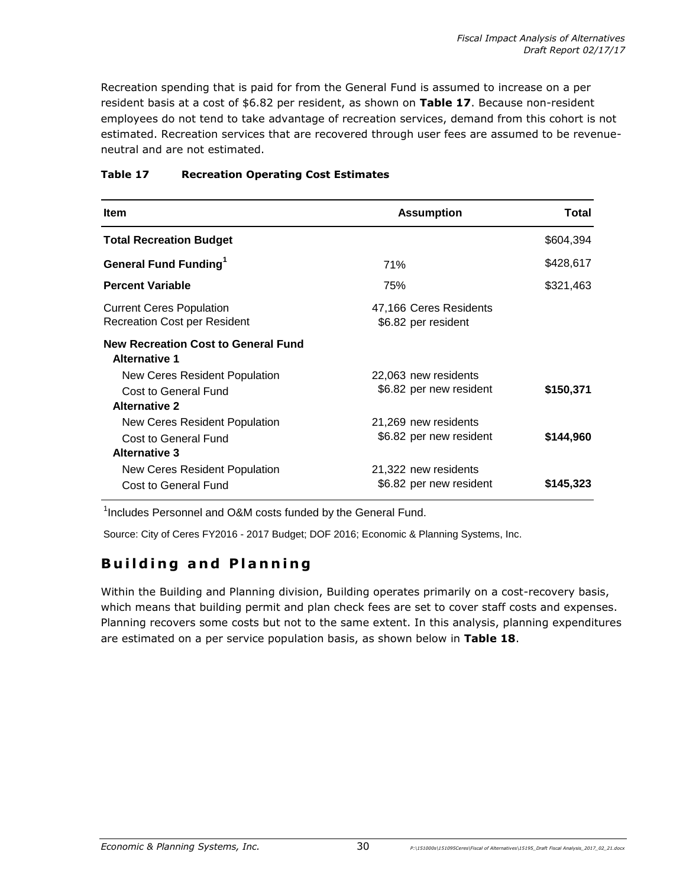Recreation spending that is paid for from the General Fund is assumed to increase on a per resident basis at a cost of \$6.82 per resident, as shown on **Table 17**. Because non-resident employees do not tend to take advantage of recreation services, demand from this cohort is not estimated. Recreation services that are recovered through user fees are assumed to be revenueneutral and are not estimated.

| <b>Item</b>                                                                   | <b>Assumption</b>                               | Total     |
|-------------------------------------------------------------------------------|-------------------------------------------------|-----------|
| <b>Total Recreation Budget</b>                                                |                                                 | \$604,394 |
| <b>General Fund Funding</b> <sup>1</sup>                                      | 71%                                             | \$428,617 |
| <b>Percent Variable</b>                                                       | 75%                                             | \$321,463 |
| <b>Current Ceres Population</b><br><b>Recreation Cost per Resident</b>        | 47,166 Ceres Residents<br>\$6.82 per resident   |           |
| <b>New Recreation Cost to General Fund</b><br><b>Alternative 1</b>            |                                                 |           |
| New Ceres Resident Population<br>Cost to General Fund                         | 22,063 new residents<br>\$6.82 per new resident | \$150,371 |
| <b>Alternative 2</b>                                                          |                                                 |           |
| New Ceres Resident Population<br>Cost to General Fund<br><b>Alternative 3</b> | 21,269 new residents<br>\$6.82 per new resident | \$144,960 |
| New Ceres Resident Population<br>Cost to General Fund                         | 21,322 new residents<br>\$6.82 per new resident | \$145,323 |

### **Table 17 Recreation Operating Cost Estimates**

<sup>1</sup>Includes Personnel and O&M costs funded by the General Fund.

Source: City of Ceres FY2016 - 2017 Budget; DOF 2016; Economic & Planning Systems, Inc.

# **Building and Planning**

Within the Building and Planning division, Building operates primarily on a cost-recovery basis, which means that building permit and plan check fees are set to cover staff costs and expenses. Planning recovers some costs but not to the same extent. In this analysis, planning expenditures are estimated on a per service population basis, as shown below in **Table 18**.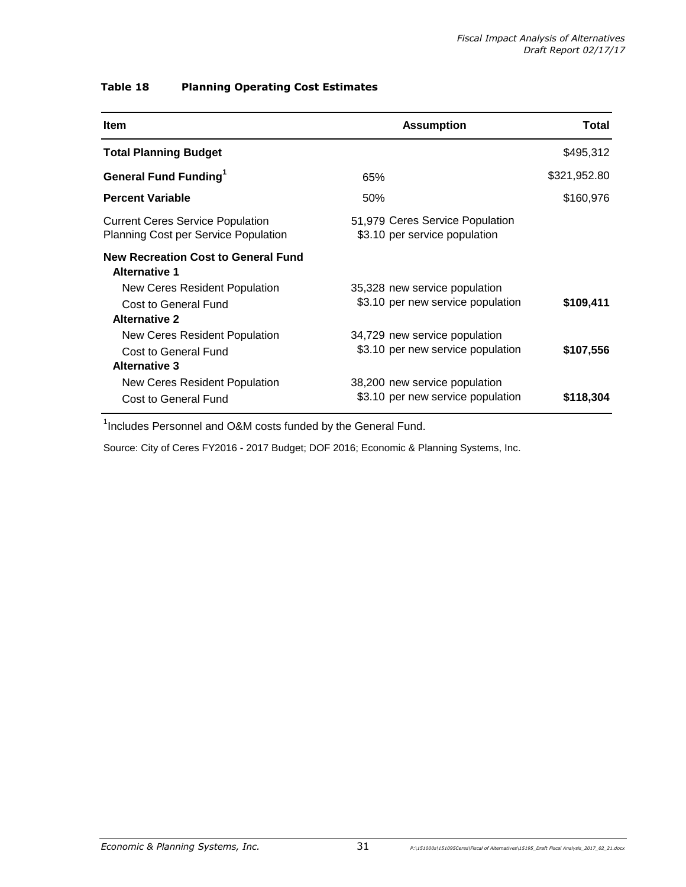### **Table 18 Planning Operating Cost Estimates**

| <b>Assumption</b><br>Total                     |                               | <b>Item</b>                                                                            |
|------------------------------------------------|-------------------------------|----------------------------------------------------------------------------------------|
| \$495,312                                      |                               | <b>Total Planning Budget</b>                                                           |
| \$321,952.80                                   | 65%                           | <b>General Fund Funding</b> <sup>1</sup>                                               |
| \$160,976                                      | 50%                           | <b>Percent Variable</b>                                                                |
| 51,979 Ceres Service Population                | \$3.10 per service population | <b>Current Ceres Service Population</b><br><b>Planning Cost per Service Population</b> |
|                                                |                               | <b>New Recreation Cost to General Fund</b><br><b>Alternative 1</b>                     |
| \$3.10 per new service population<br>\$109,411 | 35,328 new service population | New Ceres Resident Population<br>Cost to General Fund                                  |
|                                                |                               | <b>Alternative 2</b>                                                                   |
| \$3.10 per new service population<br>\$107,556 | 34,729 new service population | New Ceres Resident Population<br>Cost to General Fund                                  |
|                                                |                               | <b>Alternative 3</b>                                                                   |
| \$3.10 per new service population<br>\$118,304 | 38,200 new service population | <b>New Ceres Resident Population</b><br>Cost to General Fund                           |

<sup>1</sup>Includes Personnel and O&M costs funded by the General Fund.

Source: City of Ceres FY2016 - 2017 Budget; DOF 2016; Economic & Planning Systems, Inc.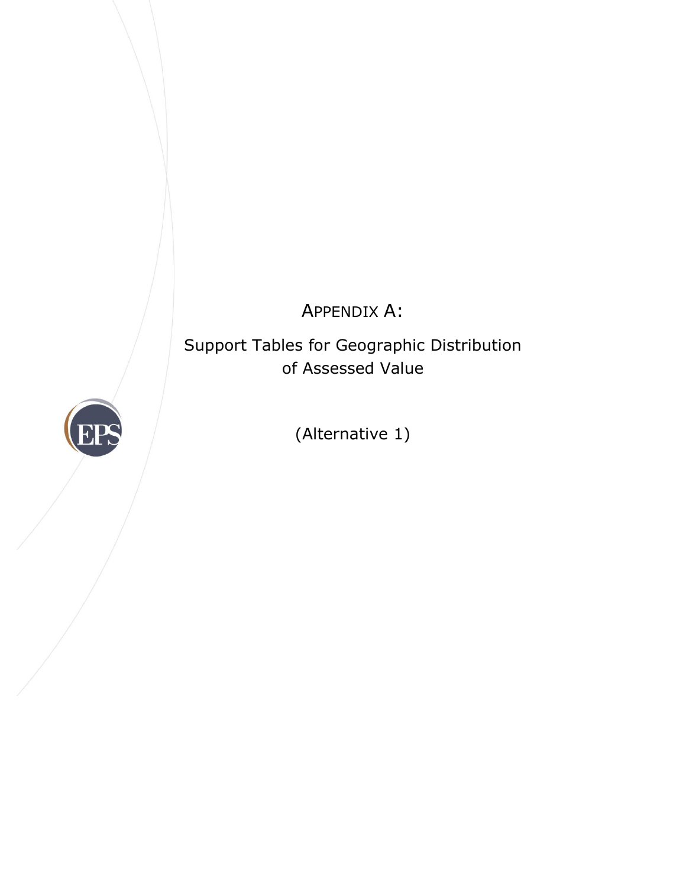# APPENDIX A:

Support Tables for Geographic Distribution of Assessed Value



(Alternative 1)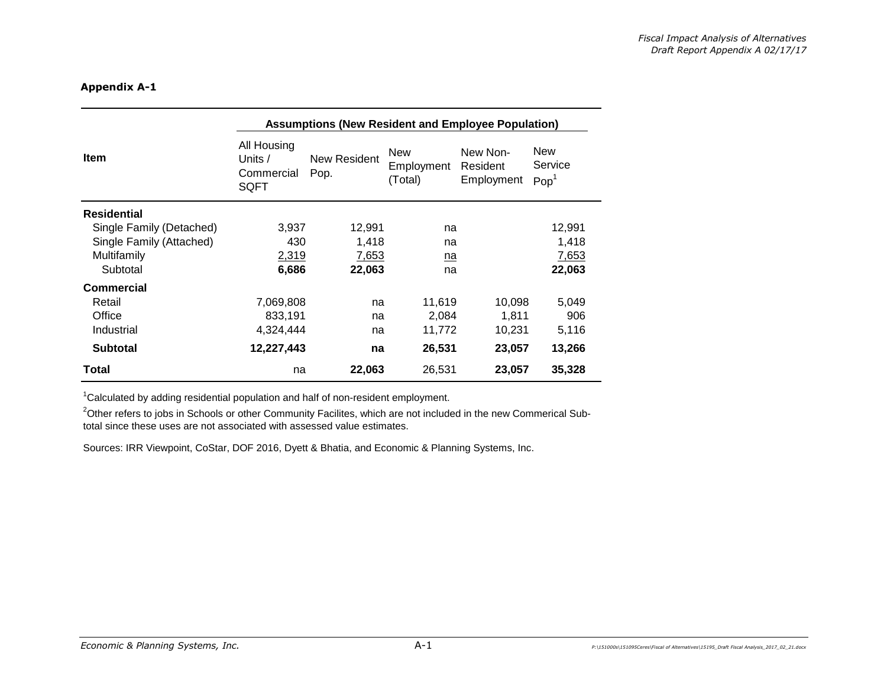|                          | <b>Assumptions (New Resident and Employee Population)</b>                                |        |            |                                    |                                           |
|--------------------------|------------------------------------------------------------------------------------------|--------|------------|------------------------------------|-------------------------------------------|
| <b>Item</b>              | All Housing<br>New<br>New Resident<br>Units $/$<br>Pop.<br>Commercial<br>(Total)<br>SQFT |        | Employment | New Non-<br>Resident<br>Employment | <b>New</b><br>Service<br>Pop <sup>1</sup> |
| <b>Residential</b>       |                                                                                          |        |            |                                    |                                           |
| Single Family (Detached) | 3,937                                                                                    | 12,991 | na         |                                    | 12,991                                    |
| Single Family (Attached) | 430                                                                                      | 1,418  | na         |                                    | 1,418                                     |
| Multifamily              | 2,319                                                                                    | 7,653  | na         |                                    | 7,653                                     |
| Subtotal                 | 6,686                                                                                    | 22,063 | na         |                                    | 22,063                                    |
| <b>Commercial</b>        |                                                                                          |        |            |                                    |                                           |
| Retail                   | 7,069,808                                                                                | na     | 11,619     | 10,098                             | 5,049                                     |
| Office                   | 833,191                                                                                  | na     | 2,084      | 1.811                              | 906                                       |
| Industrial               | 4,324,444                                                                                | na     | 11,772     | 10,231                             | 5,116                                     |
| <b>Subtotal</b>          | 12,227,443                                                                               | na     | 26,531     | 23,057                             | 13,266                                    |
| Total                    | na                                                                                       | 22,063 | 26,531     | 23,057                             | 35,328                                    |

<sup>1</sup>Calculated by adding residential population and half of non-resident employment.

<sup>2</sup>Other refers to jobs in Schools or other Community Facilites, which are not included in the new Commerical Subtotal since these uses are not associated with assessed value estimates.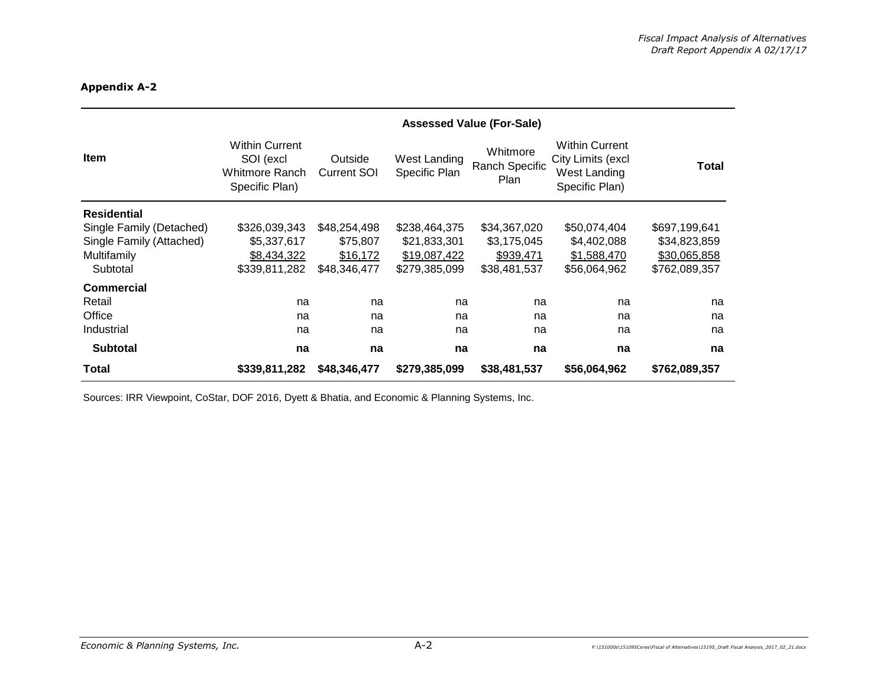|                          | <b>Assessed Value (For-Sale)</b>                                       |                               |                               |                                    |                                                                              |               |
|--------------------------|------------------------------------------------------------------------|-------------------------------|-------------------------------|------------------------------------|------------------------------------------------------------------------------|---------------|
| Item                     | <b>Within Current</b><br>SOI (excl<br>Whitmore Ranch<br>Specific Plan) | Outside<br><b>Current SOI</b> | West Landing<br>Specific Plan | Whitmore<br>Ranch Specific<br>Plan | <b>Within Current</b><br>City Limits (excl<br>West Landing<br>Specific Plan) | Total         |
| <b>Residential</b>       |                                                                        |                               |                               |                                    |                                                                              |               |
| Single Family (Detached) | \$326,039,343                                                          | \$48,254,498                  | \$238,464,375                 | \$34,367,020                       | \$50,074,404                                                                 | \$697,199,641 |
| Single Family (Attached) | \$5,337,617                                                            | \$75,807                      | \$21,833,301                  | \$3,175,045                        | \$4,402,088                                                                  | \$34,823,859  |
| Multifamily              | \$8,434,322                                                            | \$16,172                      | \$19,087,422                  | \$939,471                          | \$1,588,470                                                                  | \$30,065,858  |
| Subtotal                 | \$339,811,282                                                          | \$48,346,477                  | \$279,385,099                 | \$38,481,537                       | \$56,064,962                                                                 | \$762,089,357 |
| <b>Commercial</b>        |                                                                        |                               |                               |                                    |                                                                              |               |
| Retail                   | na                                                                     | na                            | na                            | na                                 | na                                                                           | na            |
| Office                   | na                                                                     | na                            | na                            | na                                 | na                                                                           | na            |
| Industrial               | na                                                                     | na                            | na                            | na                                 | na                                                                           | na            |
| <b>Subtotal</b>          | na                                                                     | na                            | na                            | na                                 | na                                                                           | na            |
| Total                    | \$339,811,282                                                          | \$48,346,477                  | \$279,385,099                 | \$38,481,537                       | \$56,064,962                                                                 | \$762,089,357 |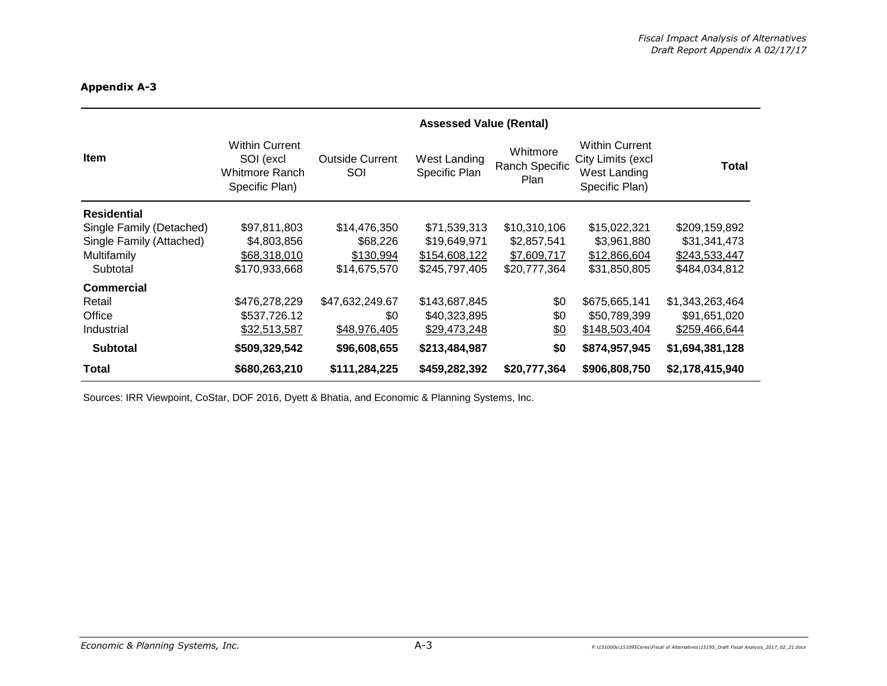|                          | <b>Assessed Value (Rental)</b>                                         |                               |                               |                                    |                                                                              |                 |
|--------------------------|------------------------------------------------------------------------|-------------------------------|-------------------------------|------------------------------------|------------------------------------------------------------------------------|-----------------|
| <b>Item</b>              | <b>Within Current</b><br>SOI (excl<br>Whitmore Ranch<br>Specific Plan) | <b>Outside Current</b><br>SOI | West Landing<br>Specific Plan | Whitmore<br>Ranch Specific<br>Plan | <b>Within Current</b><br>City Limits (excl<br>West Landing<br>Specific Plan) | <b>Total</b>    |
| <b>Residential</b>       |                                                                        |                               |                               |                                    |                                                                              |                 |
| Single Family (Detached) | \$97,811,803                                                           | \$14,476,350                  | \$71,539,313                  | \$10,310,106                       | \$15,022,321                                                                 | \$209,159,892   |
| Single Family (Attached) | \$4,803,856                                                            | \$68,226                      | \$19,649,971                  | \$2,857,541                        | \$3,961,880                                                                  | \$31,341,473    |
| Multifamily              | \$68,318,010                                                           | \$130,994                     | \$154,608,122                 | \$7,609,717                        | \$12,866,604                                                                 | \$243,533,447   |
| Subtotal                 | \$170,933,668                                                          | \$14,675,570                  | \$245,797,405                 | \$20,777,364                       | \$31,850,805                                                                 | \$484,034,812   |
| <b>Commercial</b>        |                                                                        |                               |                               |                                    |                                                                              |                 |
| Retail                   | \$476,278,229                                                          | \$47,632,249.67               | \$143,687,845                 | \$0                                | \$675,665,141                                                                | \$1,343,263,464 |
| Office                   | \$537,726.12                                                           | \$0                           | \$40,323,895                  | \$0                                | \$50,789,399                                                                 | \$91,651,020    |
| Industrial               | \$32,513,587                                                           | \$48,976,405                  | \$29,473,248                  | <u>\$0</u>                         | \$148,503,404                                                                | \$259,466,644   |
| <b>Subtotal</b>          | \$509,329,542                                                          | \$96,608,655                  | \$213,484,987                 | \$0                                | \$874,957,945                                                                | \$1,694,381,128 |
| Total                    | \$680,263,210                                                          | \$111,284,225                 | \$459,282,392                 | \$20,777,364                       | \$906,808,750                                                                | \$2,178,415,940 |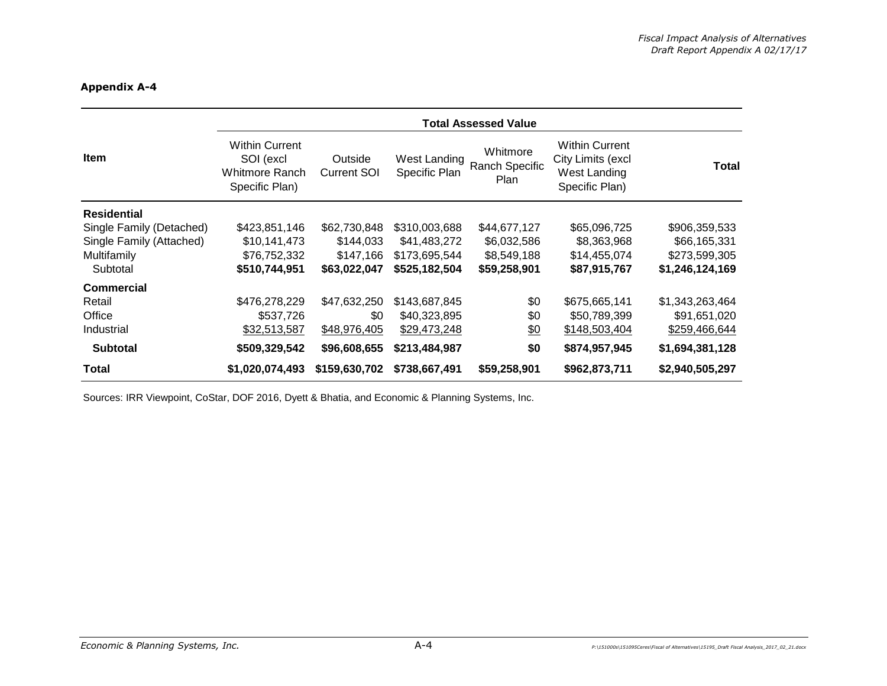|                          | <b>Total Assessed Value</b>                                            |                               |                               |                                    |                                                                              |                 |  |  |
|--------------------------|------------------------------------------------------------------------|-------------------------------|-------------------------------|------------------------------------|------------------------------------------------------------------------------|-----------------|--|--|
| <b>Item</b>              | <b>Within Current</b><br>SOI (excl<br>Whitmore Ranch<br>Specific Plan) | Outside<br><b>Current SOI</b> | West Landing<br>Specific Plan | Whitmore<br>Ranch Specific<br>Plan | <b>Within Current</b><br>City Limits (excl<br>West Landing<br>Specific Plan) | Total           |  |  |
| <b>Residential</b>       |                                                                        |                               |                               |                                    |                                                                              |                 |  |  |
| Single Family (Detached) | \$423,851,146                                                          | \$62,730,848                  | \$310,003,688                 | \$44,677,127                       | \$65,096,725                                                                 | \$906,359,533   |  |  |
| Single Family (Attached) | \$10,141,473                                                           | \$144,033                     | \$41,483,272                  | \$6,032,586                        | \$8,363,968                                                                  | \$66,165,331    |  |  |
| Multifamily              | \$76,752,332                                                           | \$147,166                     | \$173.695.544                 | \$8,549,188                        | \$14,455,074                                                                 | \$273,599,305   |  |  |
| Subtotal                 | \$510,744,951                                                          | \$63,022,047                  | \$525,182,504                 | \$59,258,901                       | \$87,915,767                                                                 | \$1,246,124,169 |  |  |
| <b>Commercial</b>        |                                                                        |                               |                               |                                    |                                                                              |                 |  |  |
| Retail                   | \$476,278,229                                                          | \$47,632,250                  | \$143,687,845                 | \$0                                | \$675,665,141                                                                | \$1,343,263,464 |  |  |
| Office                   | \$537,726                                                              | \$0                           | \$40,323,895                  | \$0                                | \$50,789,399                                                                 | \$91,651,020    |  |  |
| Industrial               | \$32,513,587                                                           | \$48,976,405                  | \$29,473,248                  | $\frac{60}{20}$                    | \$148,503,404                                                                | \$259,466,644   |  |  |
| <b>Subtotal</b>          | \$509,329,542                                                          | \$96,608,655                  | \$213,484,987                 | \$0                                | \$874,957,945                                                                | \$1,694,381,128 |  |  |
| <b>Total</b>             | \$1,020,074,493                                                        | \$159,630,702                 | \$738,667,491                 | \$59,258,901                       | \$962,873,711                                                                | \$2,940,505,297 |  |  |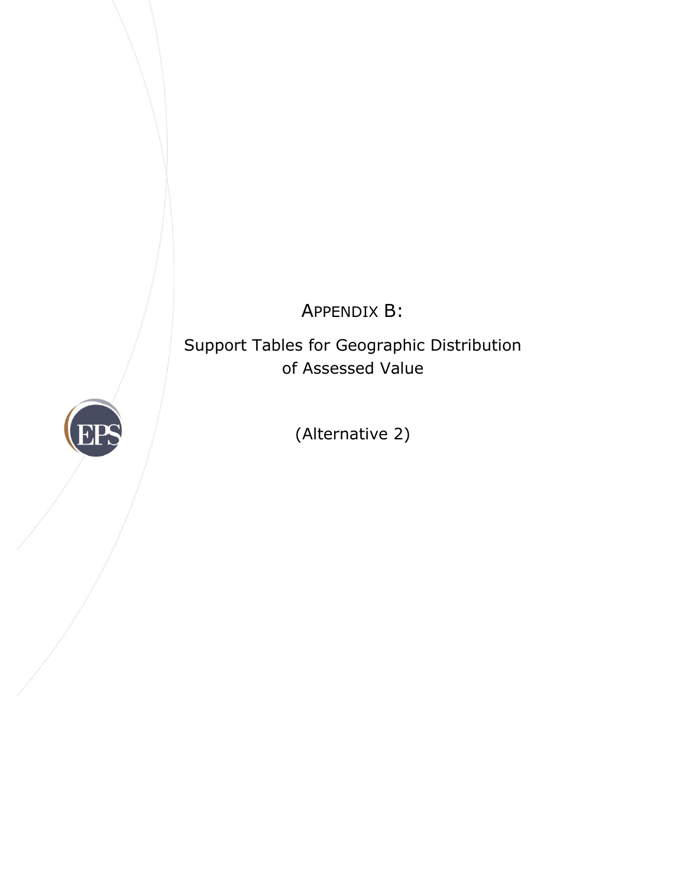APPENDIX B:

Support Tables for Geographic Distribution of Assessed Value



(Alternative 2)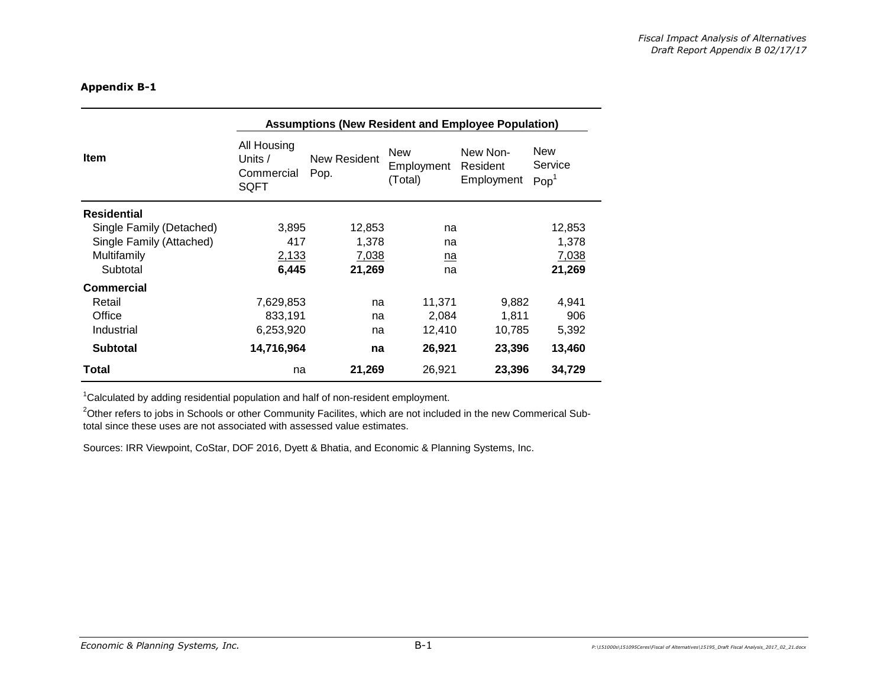|                          | <b>Assumptions (New Resident and Employee Population)</b> |                      |                                     |                                    |                                    |  |  |
|--------------------------|-----------------------------------------------------------|----------------------|-------------------------------------|------------------------------------|------------------------------------|--|--|
| <b>Item</b>              | All Housing<br>Units $/$<br>Commercial<br>SQFT            | New Resident<br>Pop. | <b>New</b><br>Employment<br>(Total) | New Non-<br>Resident<br>Employment | New<br>Service<br>Pop <sup>1</sup> |  |  |
| <b>Residential</b>       |                                                           |                      |                                     |                                    |                                    |  |  |
| Single Family (Detached) | 3,895                                                     | 12,853               | na                                  |                                    | 12,853                             |  |  |
| Single Family (Attached) | 417                                                       | 1,378                | na                                  |                                    | 1,378                              |  |  |
| Multifamily              | 2,133                                                     | 7,038                | na                                  |                                    | 7,038                              |  |  |
| Subtotal                 | 6,445                                                     | 21,269               | na                                  |                                    | 21,269                             |  |  |
| <b>Commercial</b>        |                                                           |                      |                                     |                                    |                                    |  |  |
| Retail                   | 7,629,853                                                 | na                   | 11,371                              | 9,882                              | 4,941                              |  |  |
| Office                   | 833,191                                                   | na                   | 2,084                               | 1,811                              | 906                                |  |  |
| Industrial               | 6,253,920                                                 | na                   | 12,410                              | 10,785                             | 5,392                              |  |  |
| <b>Subtotal</b>          | 14,716,964                                                | na                   | 26,921                              | 23,396                             | 13,460                             |  |  |
| Total                    | na                                                        | 21,269               | 26,921                              | 23,396                             | 34,729                             |  |  |

<sup>1</sup>Calculated by adding residential population and half of non-resident employment.

<sup>2</sup>Other refers to jobs in Schools or other Community Facilites, which are not included in the new Commerical Subtotal since these uses are not associated with assessed value estimates.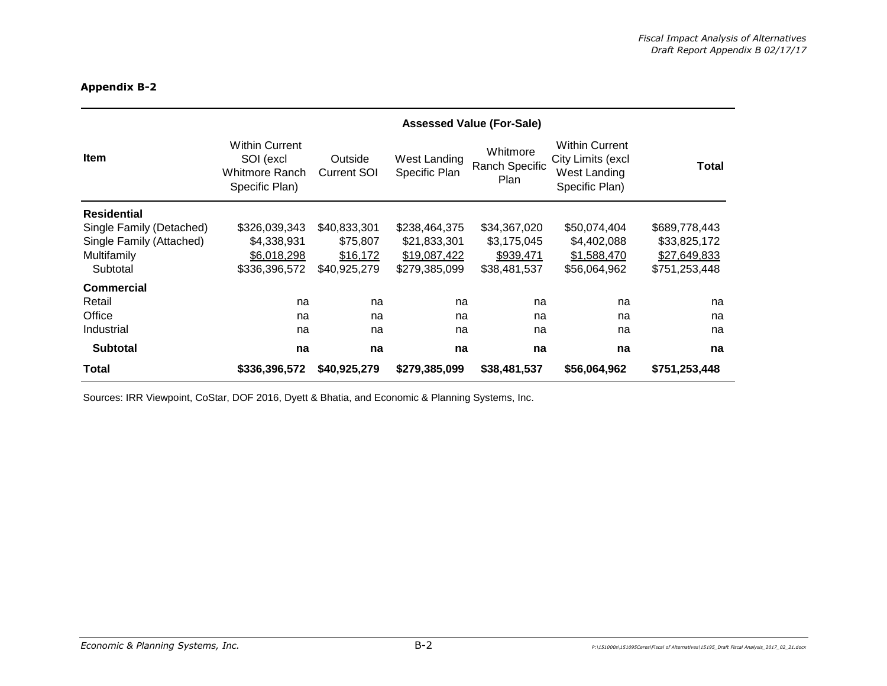|                          | <b>Assessed Value (For-Sale)</b>                                       |                               |                               |                                    |                                                                              |               |
|--------------------------|------------------------------------------------------------------------|-------------------------------|-------------------------------|------------------------------------|------------------------------------------------------------------------------|---------------|
| Item                     | <b>Within Current</b><br>SOI (excl<br>Whitmore Ranch<br>Specific Plan) | Outside<br><b>Current SOI</b> | West Landing<br>Specific Plan | Whitmore<br>Ranch Specific<br>Plan | <b>Within Current</b><br>City Limits (excl<br>West Landing<br>Specific Plan) | Total         |
| <b>Residential</b>       |                                                                        |                               |                               |                                    |                                                                              |               |
| Single Family (Detached) | \$326,039,343                                                          | \$40,833,301                  | \$238,464,375                 | \$34,367,020                       | \$50,074,404                                                                 | \$689,778,443 |
| Single Family (Attached) | \$4,338,931                                                            | \$75,807                      | \$21,833,301                  | \$3,175,045                        | \$4,402,088                                                                  | \$33,825,172  |
| Multifamily              | \$6,018,298                                                            | \$16,172                      | \$19,087,422                  | \$939,471                          | \$1,588,470                                                                  | \$27,649,833  |
| Subtotal                 | \$336,396,572                                                          | \$40,925,279                  | \$279,385,099                 | \$38,481,537                       | \$56,064,962                                                                 | \$751,253,448 |
| <b>Commercial</b>        |                                                                        |                               |                               |                                    |                                                                              |               |
| Retail                   | na                                                                     | na                            | na                            | na                                 | na                                                                           | na            |
| Office                   | na                                                                     | na                            | na                            | na                                 | na                                                                           | na            |
| Industrial               | na                                                                     | na                            | na                            | na                                 | na                                                                           | na            |
| <b>Subtotal</b>          | na                                                                     | na                            | na                            | na                                 | na                                                                           | na            |
| Total                    | \$336,396,572                                                          | \$40,925,279                  | \$279,385,099                 | \$38,481,537                       | \$56,064,962                                                                 | \$751,253,448 |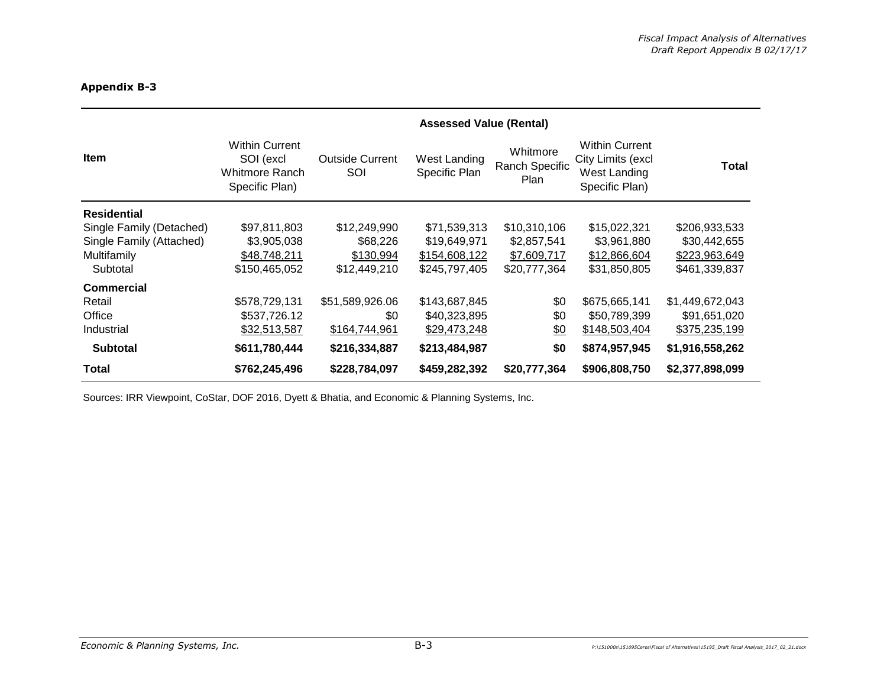|                          | <b>Assessed Value (Rental)</b>                                         |                               |                               |                                    |                                                                              |                 |
|--------------------------|------------------------------------------------------------------------|-------------------------------|-------------------------------|------------------------------------|------------------------------------------------------------------------------|-----------------|
| <b>Item</b>              | <b>Within Current</b><br>SOI (excl<br>Whitmore Ranch<br>Specific Plan) | <b>Outside Current</b><br>SOI | West Landing<br>Specific Plan | Whitmore<br>Ranch Specific<br>Plan | <b>Within Current</b><br>City Limits (excl<br>West Landing<br>Specific Plan) | Total           |
| <b>Residential</b>       |                                                                        |                               |                               |                                    |                                                                              |                 |
| Single Family (Detached) | \$97,811,803                                                           | \$12,249,990                  | \$71,539,313                  | \$10,310,106                       | \$15,022,321                                                                 | \$206,933,533   |
| Single Family (Attached) | \$3,905,038                                                            | \$68,226                      | \$19,649,971                  | \$2,857,541                        | \$3,961,880                                                                  | \$30,442,655    |
| Multifamily              | \$48,748,211                                                           | \$130,994                     | \$154,608,122                 | \$7,609,717                        | \$12,866,604                                                                 | \$223,963,649   |
| Subtotal                 | \$150,465,052                                                          | \$12,449,210                  | \$245,797,405                 | \$20,777,364                       | \$31,850,805                                                                 | \$461,339,837   |
| <b>Commercial</b>        |                                                                        |                               |                               |                                    |                                                                              |                 |
| Retail                   | \$578,729,131                                                          | \$51,589,926.06               | \$143,687,845                 | \$0                                | \$675,665,141                                                                | \$1,449,672,043 |
| Office                   | \$537,726.12                                                           | \$0                           | \$40,323,895                  | \$0                                | \$50,789,399                                                                 | \$91,651,020    |
| Industrial               | \$32,513,587                                                           | \$164,744,961                 | \$29,473,248                  | <u>\$0</u>                         | \$148,503,404                                                                | \$375,235,199   |
| <b>Subtotal</b>          | \$611,780,444                                                          | \$216,334,887                 | \$213,484,987                 | \$0                                | \$874,957,945                                                                | \$1,916,558,262 |
| Total                    | \$762,245,496                                                          | \$228,784,097                 | \$459,282,392                 | \$20,777,364                       | \$906,808,750                                                                | \$2,377,898,099 |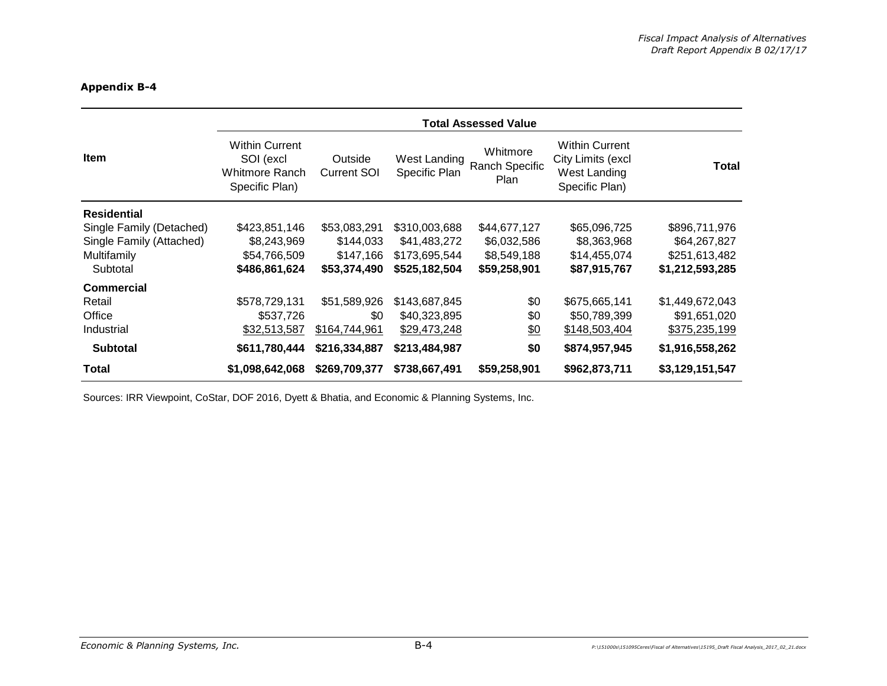|                          | <b>Total Assessed Value</b>                                            |                               |                               |                                    |                                                                              |                 |  |  |
|--------------------------|------------------------------------------------------------------------|-------------------------------|-------------------------------|------------------------------------|------------------------------------------------------------------------------|-----------------|--|--|
| <b>Item</b>              | <b>Within Current</b><br>SOI (excl<br>Whitmore Ranch<br>Specific Plan) | Outside<br><b>Current SOI</b> | West Landing<br>Specific Plan | Whitmore<br>Ranch Specific<br>Plan | <b>Within Current</b><br>City Limits (excl<br>West Landing<br>Specific Plan) | Total           |  |  |
| <b>Residential</b>       |                                                                        |                               |                               |                                    |                                                                              |                 |  |  |
| Single Family (Detached) | \$423,851,146                                                          | \$53,083,291                  | \$310,003,688                 | \$44,677,127                       | \$65,096,725                                                                 | \$896,711,976   |  |  |
| Single Family (Attached) | \$8,243,969                                                            | \$144,033                     | \$41,483,272                  | \$6,032,586                        | \$8,363,968                                                                  | \$64,267,827    |  |  |
| Multifamily              | \$54,766,509                                                           | \$147,166                     | \$173.695.544                 | \$8,549,188                        | \$14,455,074                                                                 | \$251,613,482   |  |  |
| Subtotal                 | \$486,861,624                                                          | \$53,374,490                  | \$525,182,504                 | \$59,258,901                       | \$87,915,767                                                                 | \$1,212,593,285 |  |  |
| <b>Commercial</b>        |                                                                        |                               |                               |                                    |                                                                              |                 |  |  |
| Retail                   | \$578,729,131                                                          | \$51,589,926                  | \$143,687,845                 | \$0                                | \$675,665,141                                                                | \$1,449,672,043 |  |  |
| Office                   | \$537,726                                                              | \$0                           | \$40,323,895                  | \$0                                | \$50,789,399                                                                 | \$91,651,020    |  |  |
| Industrial               | \$32,513,587                                                           | \$164,744,961                 | \$29,473,248                  | $\frac{60}{20}$                    | \$148,503,404                                                                | \$375,235,199   |  |  |
| <b>Subtotal</b>          | \$611,780,444                                                          | \$216,334,887                 | \$213,484,987                 | \$0                                | \$874,957,945                                                                | \$1,916,558,262 |  |  |
| Total                    | \$1,098,642,068                                                        | \$269,709,377                 | \$738,667,491                 | \$59,258,901                       | \$962,873,711                                                                | \$3,129,151,547 |  |  |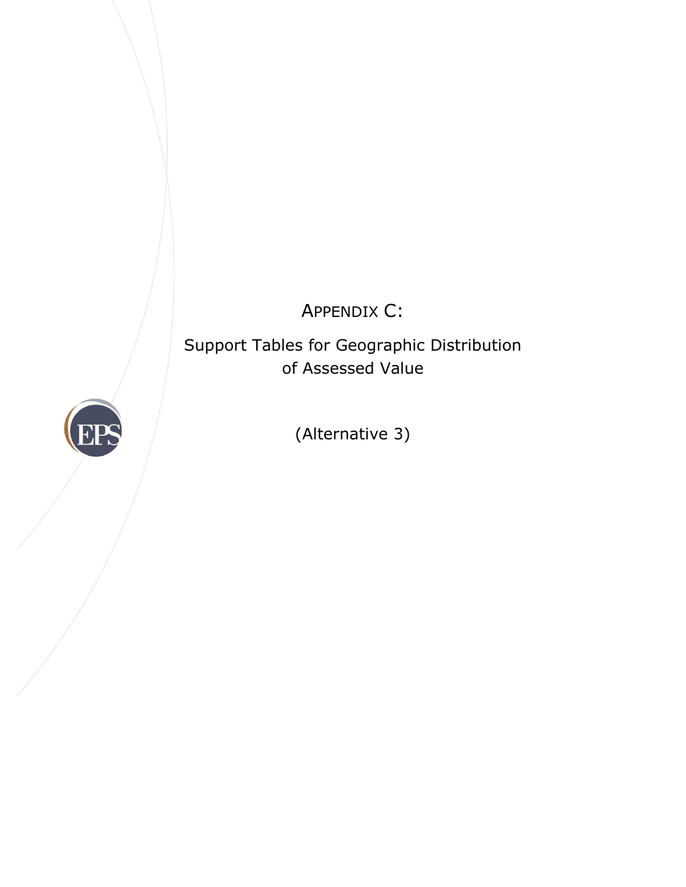APPENDIX C:

Support Tables for Geographic Distribution of Assessed Value



(Alternative 3)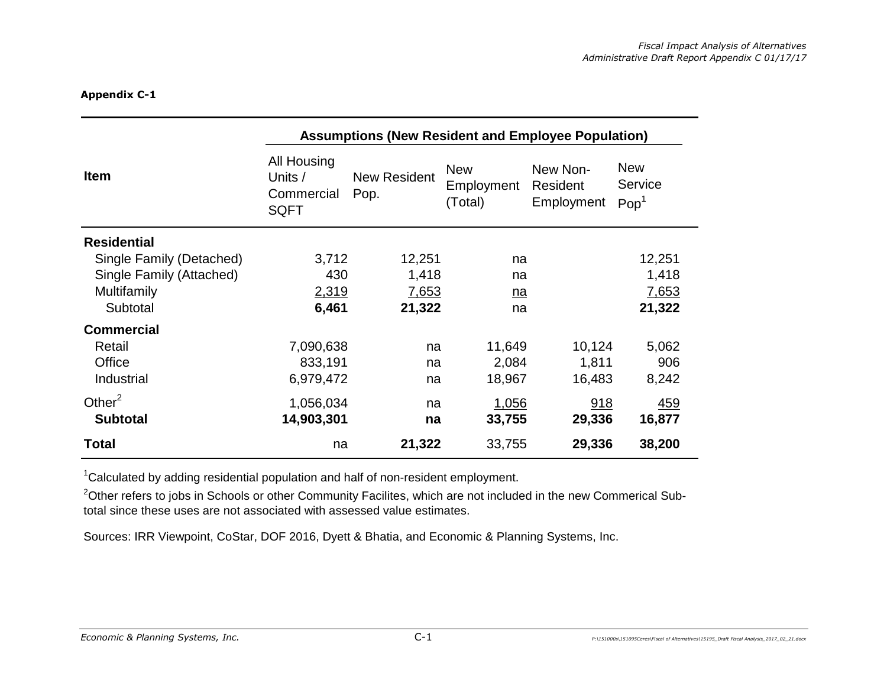|                          | <b>Assumptions (New Resident and Employee Population)</b> |                             |                                     |                                    |                                           |  |  |  |
|--------------------------|-----------------------------------------------------------|-----------------------------|-------------------------------------|------------------------------------|-------------------------------------------|--|--|--|
| <b>Item</b>              | All Housing<br>Units /<br>Commercial<br><b>SQFT</b>       | <b>New Resident</b><br>Pop. | <b>New</b><br>Employment<br>(Total) | New Non-<br>Resident<br>Employment | <b>New</b><br>Service<br>Pop <sup>1</sup> |  |  |  |
| <b>Residential</b>       |                                                           |                             |                                     |                                    |                                           |  |  |  |
| Single Family (Detached) | 3,712                                                     | 12,251                      | na                                  |                                    | 12,251                                    |  |  |  |
| Single Family (Attached) | 430                                                       | 1,418                       | na                                  |                                    | 1,418                                     |  |  |  |
| Multifamily              | 2,319                                                     | 7,653                       | na                                  |                                    | 7,653                                     |  |  |  |
| Subtotal                 | 6,461                                                     | 21,322                      | na                                  |                                    | 21,322                                    |  |  |  |
| <b>Commercial</b>        |                                                           |                             |                                     |                                    |                                           |  |  |  |
| Retail                   | 7,090,638                                                 | na                          | 11,649                              | 10,124                             | 5,062                                     |  |  |  |
| Office                   | 833,191                                                   | na                          | 2,084                               | 1,811                              | 906                                       |  |  |  |
| Industrial               | 6,979,472                                                 | na                          | 18,967                              | 16,483                             | 8,242                                     |  |  |  |
| Other $2$                | 1,056,034                                                 | na                          | 1,056                               | 918                                | <u>459</u>                                |  |  |  |
| <b>Subtotal</b>          | 14,903,301                                                | na                          | 33,755                              | 29,336                             | 16,877                                    |  |  |  |
| <b>Total</b>             | na                                                        | 21,322                      | 33,755                              | 29,336                             | 38,200                                    |  |  |  |

 $1$ Calculated by adding residential population and half of non-resident employment.

 $^{2}$ Other refers to jobs in Schools or other Community Facilites, which are not included in the new Commerical Subtotal since these uses are not associated with assessed value estimates.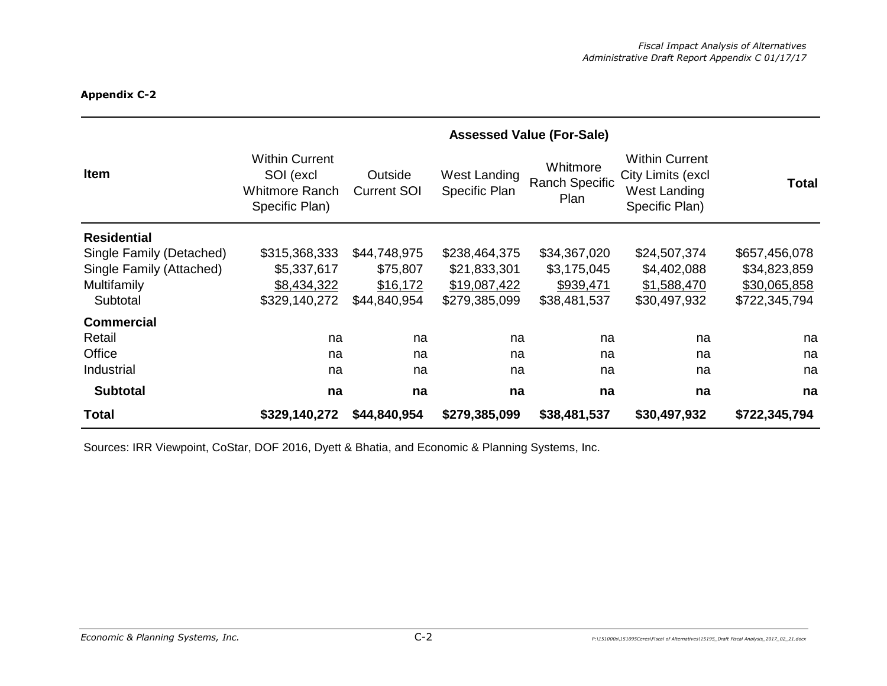|                          | <b>Assessed Value (For-Sale)</b>                                              |                               |                               |                                           |                                                                              |               |  |  |
|--------------------------|-------------------------------------------------------------------------------|-------------------------------|-------------------------------|-------------------------------------------|------------------------------------------------------------------------------|---------------|--|--|
| <b>Item</b>              | <b>Within Current</b><br>SOI (excl<br><b>Whitmore Ranch</b><br>Specific Plan) | Outside<br><b>Current SOI</b> | West Landing<br>Specific Plan | Whitmore<br><b>Ranch Specific</b><br>Plan | <b>Within Current</b><br>City Limits (excl<br>West Landing<br>Specific Plan) | <b>Total</b>  |  |  |
| <b>Residential</b>       |                                                                               |                               |                               |                                           |                                                                              |               |  |  |
| Single Family (Detached) | \$315,368,333                                                                 | \$44,748,975                  | \$238,464,375                 | \$34,367,020                              | \$24,507,374                                                                 | \$657,456,078 |  |  |
| Single Family (Attached) | \$5,337,617                                                                   | \$75,807                      | \$21,833,301                  | \$3,175,045                               | \$4,402,088                                                                  | \$34,823,859  |  |  |
| Multifamily              | \$8,434,322                                                                   | \$16,172                      | \$19,087,422                  | \$939,471                                 | \$1,588,470                                                                  | \$30,065,858  |  |  |
| Subtotal                 | \$329,140,272                                                                 | \$44,840,954                  | \$279,385,099                 | \$38,481,537                              | \$30,497,932                                                                 | \$722,345,794 |  |  |
| <b>Commercial</b>        |                                                                               |                               |                               |                                           |                                                                              |               |  |  |
| Retail                   | na                                                                            | na                            | na                            | na                                        | na                                                                           | na            |  |  |
| Office                   | na                                                                            | na                            | na                            | na                                        | na                                                                           | na            |  |  |
| Industrial               | na                                                                            | na                            | na                            | na                                        | na                                                                           | na            |  |  |
| <b>Subtotal</b>          | na                                                                            | na                            | na                            | na                                        | na                                                                           | na            |  |  |
| <b>Total</b>             | \$329,140,272                                                                 | \$44,840,954                  | \$279,385,099                 | \$38,481,537                              | \$30,497,932                                                                 | \$722,345,794 |  |  |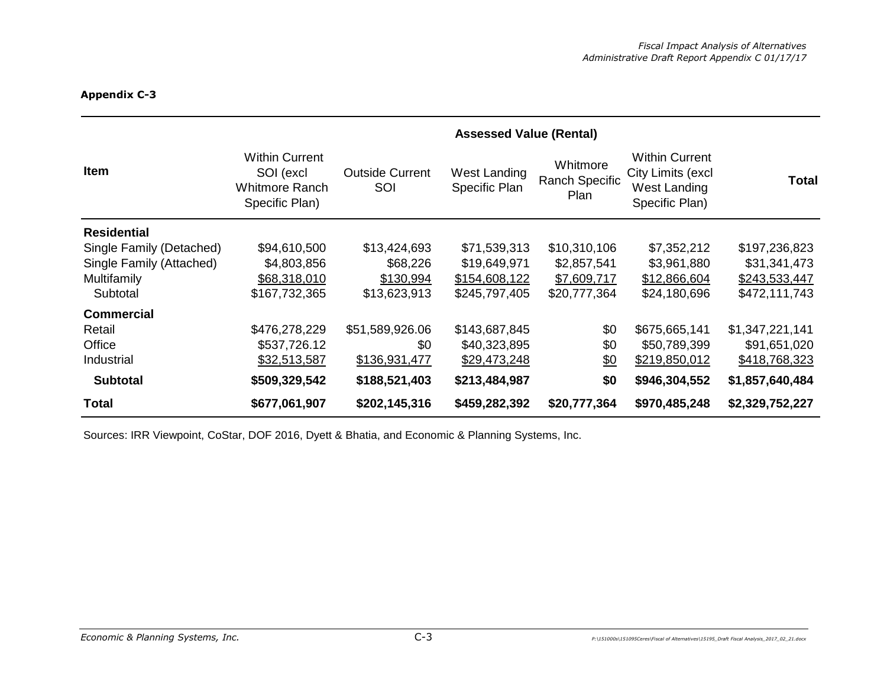|                          | <b>Assessed Value (Rental)</b>                                                |                               |                               |                                    |                                                                              |                 |  |
|--------------------------|-------------------------------------------------------------------------------|-------------------------------|-------------------------------|------------------------------------|------------------------------------------------------------------------------|-----------------|--|
| <b>Item</b>              | <b>Within Current</b><br>SOI (excl<br><b>Whitmore Ranch</b><br>Specific Plan) | <b>Outside Current</b><br>SOI | West Landing<br>Specific Plan | Whitmore<br>Ranch Specific<br>Plan | <b>Within Current</b><br>City Limits (excl<br>West Landing<br>Specific Plan) | Total           |  |
| <b>Residential</b>       |                                                                               |                               |                               |                                    |                                                                              |                 |  |
| Single Family (Detached) | \$94,610,500                                                                  | \$13,424,693                  | \$71,539,313                  | \$10,310,106                       | \$7,352,212                                                                  | \$197,236,823   |  |
| Single Family (Attached) | \$4,803,856                                                                   | \$68,226                      | \$19,649,971                  | \$2,857,541                        | \$3,961,880                                                                  | \$31,341,473    |  |
| Multifamily              | \$68,318,010                                                                  | \$130,994                     | \$154,608,122                 | \$7,609,717                        | \$12,866,604                                                                 | \$243,533,447   |  |
| Subtotal                 | \$167,732,365                                                                 | \$13,623,913                  | \$245,797,405                 | \$20,777,364                       | \$24,180,696                                                                 | \$472,111,743   |  |
| <b>Commercial</b>        |                                                                               |                               |                               |                                    |                                                                              |                 |  |
| Retail                   | \$476,278,229                                                                 | \$51,589,926.06               | \$143,687,845                 | \$0                                | \$675,665,141                                                                | \$1,347,221,141 |  |
| Office                   | \$537,726.12                                                                  | \$0                           | \$40,323,895                  | \$0                                | \$50,789,399                                                                 | \$91,651,020    |  |
| Industrial               | \$32,513,587                                                                  | \$136,931,477                 | \$29,473,248                  | 60                                 | \$219,850,012                                                                | \$418,768,323   |  |
| <b>Subtotal</b>          | \$509,329,542                                                                 | \$188,521,403                 | \$213,484,987                 | \$0                                | \$946,304,552                                                                | \$1,857,640,484 |  |
| <b>Total</b>             | \$677,061,907                                                                 | \$202,145,316                 | \$459,282,392                 | \$20,777,364                       | \$970,485,248                                                                | \$2,329,752,227 |  |